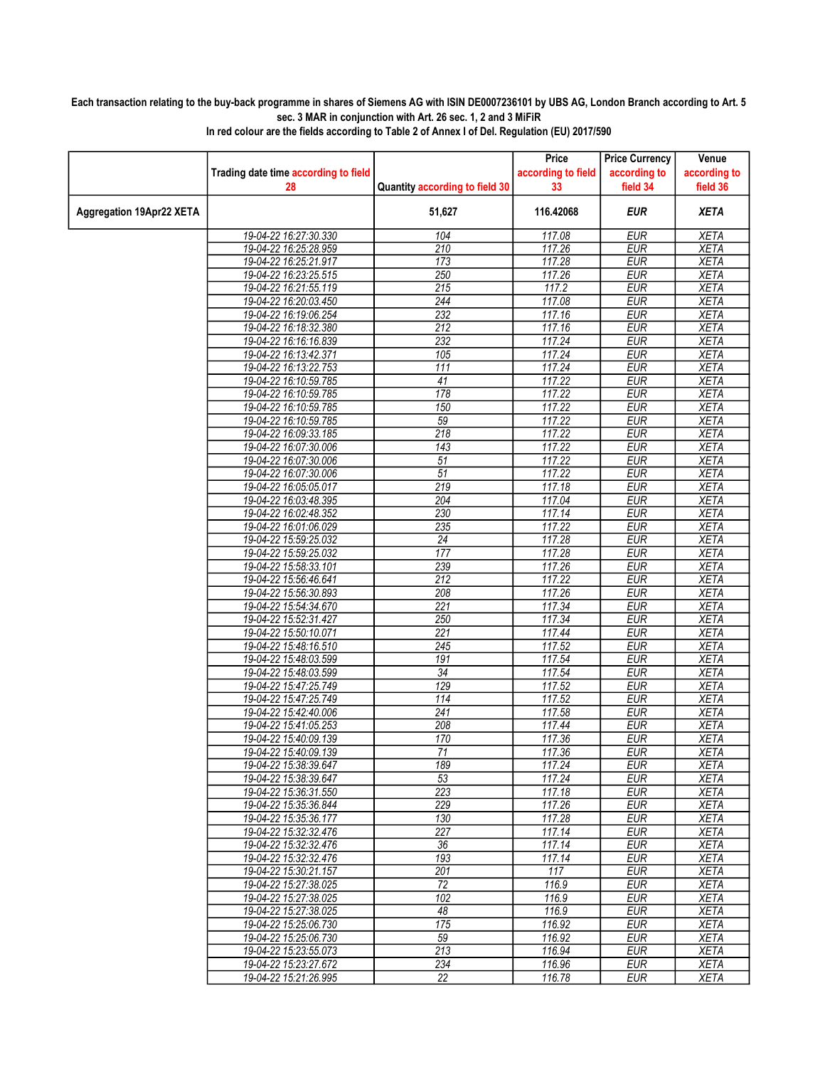## Each transaction relating to the buy-back programme in shares of Siemens AG with ISIN DE0007236101 by UBS AG, London Branch according to Art. 5 sec. 3 MAR in conjunction with Art. 26 sec. 1, 2 and 3 MiFiR

|                                 |                                      |                                | Price              | <b>Price Currency</b> | Venue        |
|---------------------------------|--------------------------------------|--------------------------------|--------------------|-----------------------|--------------|
|                                 | Trading date time according to field |                                | according to field | according to          | according to |
|                                 | 28                                   | Quantity according to field 30 | 33                 | field 34              | field 36     |
| <b>Aggregation 19Apr22 XETA</b> |                                      | 51,627                         | 116.42068          | <b>EUR</b>            | <b>XETA</b>  |
|                                 | 19-04-22 16:27:30.330                | 104                            | 117.08             | <b>EUR</b>            | <b>XETA</b>  |
|                                 | 19-04-22 16:25:28.959                | 210                            | 117.26             | <b>EUR</b>            | <b>XETA</b>  |
|                                 | 19-04-22 16:25:21.917                | 173                            | 117.28             | <b>EUR</b>            | <b>XETA</b>  |
|                                 | 19-04-22 16:23:25.515                | 250                            | 117.26             | <b>EUR</b>            | <b>XETA</b>  |
|                                 | 19-04-22 16:21:55.119                | 215                            | 117.2              | <b>EUR</b>            | <b>XETA</b>  |
|                                 | 19-04-22 16:20:03.450                | $\overline{244}$               | 117.08             | <b>EUR</b>            | <b>XETA</b>  |
|                                 | 19-04-22 16:19:06.254                | 232                            | 117.16             | <b>EUR</b>            | <b>XETA</b>  |
|                                 | 19-04-22 16:18:32.380                | $\overline{212}$               | 117.16             | <b>EUR</b>            | <b>XETA</b>  |
|                                 | 19-04-22 16:16:16.839                | 232                            | 117.24             | <b>EUR</b>            | <b>XETA</b>  |
|                                 | 19-04-22 16:13:42.371                | 105                            | 117.24             | <b>EUR</b>            | <b>XETA</b>  |
|                                 | 19-04-22 16:13:22.753                | 111                            | 117.24             | <b>EUR</b>            | <b>XETA</b>  |
|                                 | 19-04-22 16:10:59.785                | $\overline{41}$                | 117.22             | <b>EUR</b>            | <b>XETA</b>  |
|                                 | 19-04-22 16:10:59.785                | 178                            | 117.22             | <b>EUR</b>            | <b>XETA</b>  |
|                                 | 19-04-22 16:10:59.785                | 150                            | 117.22             | <b>EUR</b>            | <b>XETA</b>  |
|                                 | 19-04-22 16:10:59.785                | 59                             | 117.22             | <b>EUR</b>            | <b>XETA</b>  |
|                                 | 19-04-22 16:09:33.185                | 218                            | 117.22             | <b>EUR</b>            | <b>XETA</b>  |
|                                 | 19-04-22 16:07:30.006                | 143                            | 117.22             | <b>EUR</b>            | <b>XETA</b>  |
|                                 | 19-04-22 16:07:30.006                | $\overline{51}$                | 117.22             | <b>EUR</b>            | <b>XETA</b>  |
|                                 | 19-04-22 16:07:30.006                | $\overline{51}$                | 117.22             | <b>EUR</b>            | <b>XETA</b>  |
|                                 | 19-04-22 16:05:05.017                | 219                            | 117.18             | <b>EUR</b>            | <b>XETA</b>  |
|                                 | 19-04-22 16:03:48.395                | 204                            | 117.04             | <b>EUR</b>            | <b>XETA</b>  |
|                                 | 19-04-22 16:02:48.352                | 230                            | 117.14             | <b>EUR</b>            | <b>XETA</b>  |
|                                 | 19-04-22 16:01:06.029                | 235                            | 117.22             | <b>EUR</b>            | <b>XETA</b>  |
|                                 | 19-04-22 15:59:25.032                | $\overline{24}$                | 117.28             | <b>EUR</b>            | <b>XETA</b>  |
|                                 | 19-04-22 15:59:25.032                | 177                            | 117.28             | <b>EUR</b>            | <b>XETA</b>  |
|                                 | 19-04-22 15:58:33.101                | 239                            | 117.26             | <b>EUR</b>            | <b>XETA</b>  |
|                                 | 19-04-22 15:56:46.641                | 212                            | 117.22             | <b>EUR</b>            | <b>XETA</b>  |
|                                 | 19-04-22 15:56:30.893                | 208                            | 117.26             | <b>EUR</b>            | <b>XETA</b>  |
|                                 | 19-04-22 15:54:34.670                | 221                            | 117.34             | <b>EUR</b>            | <b>XETA</b>  |
|                                 | 19-04-22 15:52:31.427                | 250                            | 117.34             | <b>EUR</b>            | <b>XETA</b>  |
|                                 | 19-04-22 15:50:10.071                | $\overline{221}$               | 117.44             | <b>EUR</b>            | <b>XETA</b>  |
|                                 | 19-04-22 15:48:16.510                | 245                            | 117.52             | <b>EUR</b>            | <b>XETA</b>  |
|                                 | 19-04-22 15:48:03.599                | 191                            | 117.54             | <b>EUR</b>            | <b>XETA</b>  |
|                                 | 19-04-22 15:48:03.599                | $\overline{34}$                | 117.54             | <b>EUR</b>            | <b>XETA</b>  |
|                                 | 19-04-22 15:47:25.749                | 129                            | 117.52             | <b>EUR</b>            | <b>XETA</b>  |
|                                 | 19-04-22 15:47:25.749                | 114                            | 117.52             | <b>EUR</b>            | <b>XETA</b>  |
|                                 | 19-04-22 15:42:40.006                | 241                            | 117.58             | <b>EUR</b>            | <b>XETA</b>  |
|                                 | 19-04-22 15:41:05.253                | 208                            | 117.44             | <b>EUR</b>            | <b>XETA</b>  |
|                                 | 19-04-22 15:40:09.139                | 170                            | 117.36             | <b>EUR</b>            | <b>XETA</b>  |
|                                 | 19-04-22 15:40:09.139                | $\overline{71}$                | 117.36             | <b>EUR</b>            | <b>XETA</b>  |
|                                 | 19-04-22 15:38:39.647                | 189                            | 117.24             | EUR                   | XETA         |
|                                 | 19-04-22 15:38:39.647                | 53                             | 117.24             | <b>EUR</b>            | <b>XETA</b>  |
|                                 | 19-04-22 15:36:31.550                | 223                            | 117.18             | <b>EUR</b>            | <b>XETA</b>  |
|                                 | 19-04-22 15:35:36.844                | 229                            | 117.26             | <b>EUR</b>            | <b>XETA</b>  |
|                                 | 19-04-22 15:35:36.177                | 130                            | 117.28             | <b>EUR</b>            | <b>XETA</b>  |
|                                 | 19-04-22 15:32:32.476                | 227                            | 117.14             | <b>EUR</b>            | <b>XETA</b>  |
|                                 | 19-04-22 15:32:32.476                | 36                             | 117.14             | <b>EUR</b>            | <b>XETA</b>  |
|                                 | 19-04-22 15:32:32.476                | 193                            | 117.14             | <b>EUR</b>            | <b>XETA</b>  |
|                                 | 19-04-22 15:30:21.157                | 201                            | 117                | <b>EUR</b>            | <b>XETA</b>  |
|                                 | 19-04-22 15:27:38.025                | 72                             | 116.9              | <b>EUR</b>            | <b>XETA</b>  |
|                                 | 19-04-22 15:27:38.025                | 102                            | 116.9              | <b>EUR</b>            | <b>XETA</b>  |
|                                 | 19-04-22 15:27:38.025                | 48                             | 116.9              | <b>EUR</b>            | <b>XETA</b>  |
|                                 | 19-04-22 15:25:06.730                | 175                            | 116.92             | <b>EUR</b>            | <b>XETA</b>  |
|                                 | 19-04-22 15:25:06.730                | 59                             | 116.92             | <b>EUR</b>            | <b>XETA</b>  |
|                                 | 19-04-22 15:23:55.073                | 213                            | 116.94             | <b>EUR</b>            | <b>XETA</b>  |
|                                 | 19-04-22 15:23:27.672                | 234                            | 116.96             | <b>EUR</b>            | <b>XETA</b>  |
|                                 | 19-04-22 15:21:26.995                | 22                             | 116.78             | <b>EUR</b>            | <b>XETA</b>  |
|                                 |                                      |                                |                    |                       |              |

In red colour are the fields according to Table 2 of Annex I of Del. Regulation (EU) 2017/590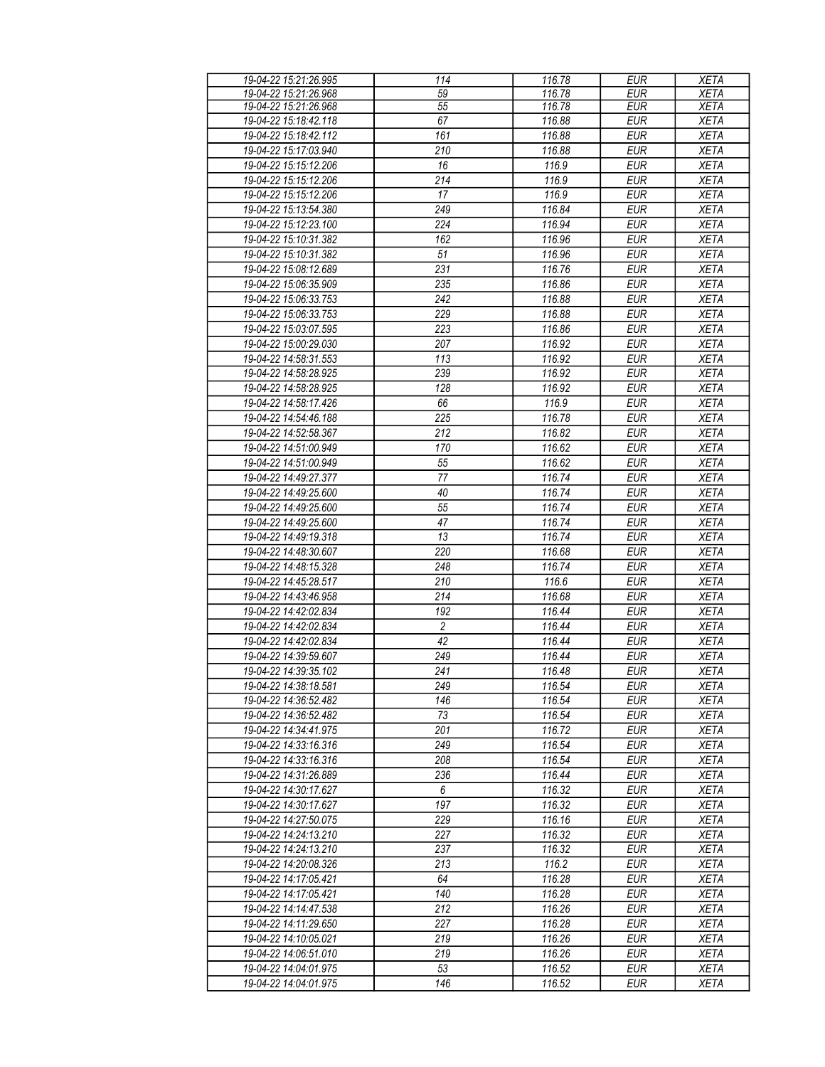| 19-04-22 15:21:26.995 | 114                   | 116.78 | <b>EUR</b>               | <b>XETA</b> |
|-----------------------|-----------------------|--------|--------------------------|-------------|
| 19-04-22 15:21:26.968 | 59                    | 116.78 | EUR                      | <b>XETA</b> |
| 19-04-22 15:21:26.968 | 55                    | 116.78 | <b>EUR</b>               | <b>XETA</b> |
| 19-04-22 15:18:42.118 | 67                    | 116.88 | <b>EUR</b>               | <b>XETA</b> |
| 19-04-22 15:18:42.112 | $\overline{161}$      | 116.88 | <b>EUR</b>               | <b>XETA</b> |
| 19-04-22 15:17:03.940 | 210                   | 116.88 | <b>EUR</b>               | <b>XETA</b> |
| 19-04-22 15:15:12.206 | 16                    | 116.9  | <b>EUR</b>               | <b>XETA</b> |
| 19-04-22 15:15:12.206 | 214                   | 116.9  | <b>EUR</b>               | <b>XETA</b> |
| 19-04-22 15:15:12.206 | 17                    | 116.9  | <b>EUR</b>               | <b>XETA</b> |
| 19-04-22 15:13:54.380 | 249                   | 116.84 | <b>EUR</b>               | <b>XETA</b> |
| 19-04-22 15:12:23.100 | 224                   | 116.94 | <b>EUR</b>               | <b>XETA</b> |
| 19-04-22 15:10:31.382 | 162                   | 116.96 | <b>EUR</b>               | <b>XETA</b> |
|                       |                       |        | <b>EUR</b>               |             |
| 19-04-22 15:10:31.382 | 51                    | 116.96 |                          | <b>XETA</b> |
| 19-04-22 15:08:12.689 | 231                   | 116.76 | <b>EUR</b>               | <b>XETA</b> |
| 19-04-22 15:06:35.909 | 235                   | 116.86 | <b>EUR</b>               | <b>XETA</b> |
| 19-04-22 15:06:33.753 | 242                   | 116.88 | <b>EUR</b>               | <b>XETA</b> |
| 19-04-22 15:06:33.753 | 229                   | 116.88 | <b>EUR</b>               | <b>XETA</b> |
| 19-04-22 15:03:07.595 | 223                   | 116.86 | <b>EUR</b>               | <b>XETA</b> |
| 19-04-22 15:00:29.030 | 207                   | 116.92 | <b>EUR</b>               | <b>XETA</b> |
| 19-04-22 14:58:31.553 | 113                   | 116.92 | <b>EUR</b>               | <b>XETA</b> |
| 19-04-22 14:58:28.925 | 239                   | 116.92 | <b>EUR</b>               | <b>XETA</b> |
| 19-04-22 14:58:28.925 | 128                   | 116.92 | <b>EUR</b>               | <b>XETA</b> |
| 19-04-22 14:58:17.426 | 66                    | 116.9  | EUR                      | <b>XETA</b> |
| 19-04-22 14:54:46.188 | 225                   | 116.78 | <b>EUR</b>               | <b>XETA</b> |
| 19-04-22 14:52:58.367 | $\overline{212}$      | 116.82 | <b>EUR</b>               | <b>XETA</b> |
| 19-04-22 14:51:00.949 | 170                   | 116.62 | <b>EUR</b>               | <b>XETA</b> |
| 19-04-22 14:51:00.949 | 55                    | 116.62 | <b>EUR</b>               | <b>XETA</b> |
| 19-04-22 14:49:27.377 | 77                    | 116.74 | <b>EUR</b>               | <b>XETA</b> |
| 19-04-22 14:49:25.600 | 40                    | 116.74 | <b>EUR</b>               | <b>XETA</b> |
| 19-04-22 14:49:25.600 | 55                    | 116.74 | <b>EUR</b>               | <b>XETA</b> |
| 19-04-22 14:49:25.600 | 47                    | 116.74 | <b>EUR</b>               | <b>XETA</b> |
| 19-04-22 14:49:19.318 | 13                    | 116.74 | <b>EUR</b>               | <b>XETA</b> |
| 19-04-22 14:48:30.607 | 220                   | 116.68 | <b>EUR</b>               | <b>XETA</b> |
| 19-04-22 14:48:15.328 | 248                   | 116.74 | <b>EUR</b>               | <b>XETA</b> |
| 19-04-22 14:45:28.517 | 210                   | 116.6  | <b>EUR</b>               | <b>XETA</b> |
| 19-04-22 14:43:46.958 | 214                   | 116.68 | <b>EUR</b>               | <b>XETA</b> |
| 19-04-22 14:42:02.834 |                       | 116.44 |                          | <b>XETA</b> |
| 19-04-22 14:42:02.834 | 192<br>$\overline{2}$ |        | <b>EUR</b><br><b>EUR</b> | <b>XETA</b> |
|                       |                       | 116.44 |                          |             |
| 19-04-22 14:42:02.834 | 42                    | 116.44 | <b>EUR</b>               | <b>XETA</b> |
| 19-04-22 14:39:59.607 | 249                   | 116.44 | <b>EUR</b>               | <b>XETA</b> |
| 19-04-22 14:39:35 102 | 241                   | 116.48 | <b>EUR</b>               | <b>XETA</b> |
| 19-04-22 14:38:18.581 | 249                   | 116.54 | <b>EUR</b>               | <b>XETA</b> |
| 19-04-22 14:36:52.482 | 146                   | 116.54 | EUR                      | <b>XETA</b> |
| 19-04-22 14:36:52.482 | 73                    | 116.54 | <b>EUR</b>               | <b>XETA</b> |
| 19-04-22 14:34:41.975 | 201                   | 116.72 | <b>EUR</b>               | <b>XETA</b> |
| 19-04-22 14:33:16.316 | 249                   | 116.54 | <b>EUR</b>               | <b>XETA</b> |
| 19-04-22 14:33:16.316 | 208                   | 116.54 | <b>EUR</b>               | <b>XETA</b> |
| 19-04-22 14:31:26.889 | 236                   | 116.44 | <b>EUR</b>               | <b>XETA</b> |
| 19-04-22 14:30:17.627 | 6                     | 116.32 | <b>EUR</b>               | <b>XETA</b> |
| 19-04-22 14:30:17.627 | 197                   | 116.32 | <b>EUR</b>               | <b>XETA</b> |
| 19-04-22 14:27:50.075 | 229                   | 116.16 | <b>EUR</b>               | <b>XETA</b> |
| 19-04-22 14:24:13.210 | 227                   | 116.32 | <b>EUR</b>               | <b>XETA</b> |
| 19-04-22 14:24:13.210 | 237                   | 116.32 | <b>EUR</b>               | <b>XETA</b> |
| 19-04-22 14:20:08.326 | 213                   | 116.2  | <b>EUR</b>               | <b>XETA</b> |
| 19-04-22 14:17:05.421 | 64                    | 116.28 | <b>EUR</b>               | <b>XETA</b> |
| 19-04-22 14:17:05.421 | 140                   | 116.28 | <b>EUR</b>               | <b>XETA</b> |
| 19-04-22 14:14:47.538 | 212                   | 116.26 | <b>EUR</b>               | <b>XETA</b> |
| 19-04-22 14:11:29.650 | 227                   | 116.28 | <b>EUR</b>               | <b>XETA</b> |
| 19-04-22 14:10:05.021 | 219                   | 116.26 | <b>EUR</b>               | <b>XETA</b> |
| 19-04-22 14:06:51.010 | 219                   | 116.26 | <b>EUR</b>               | <b>XETA</b> |
| 19-04-22 14:04:01.975 | 53                    | 116.52 | <b>EUR</b>               | <b>XETA</b> |
| 19-04-22 14:04:01.975 | 146                   | 116.52 | <b>EUR</b>               | <b>XETA</b> |
|                       |                       |        |                          |             |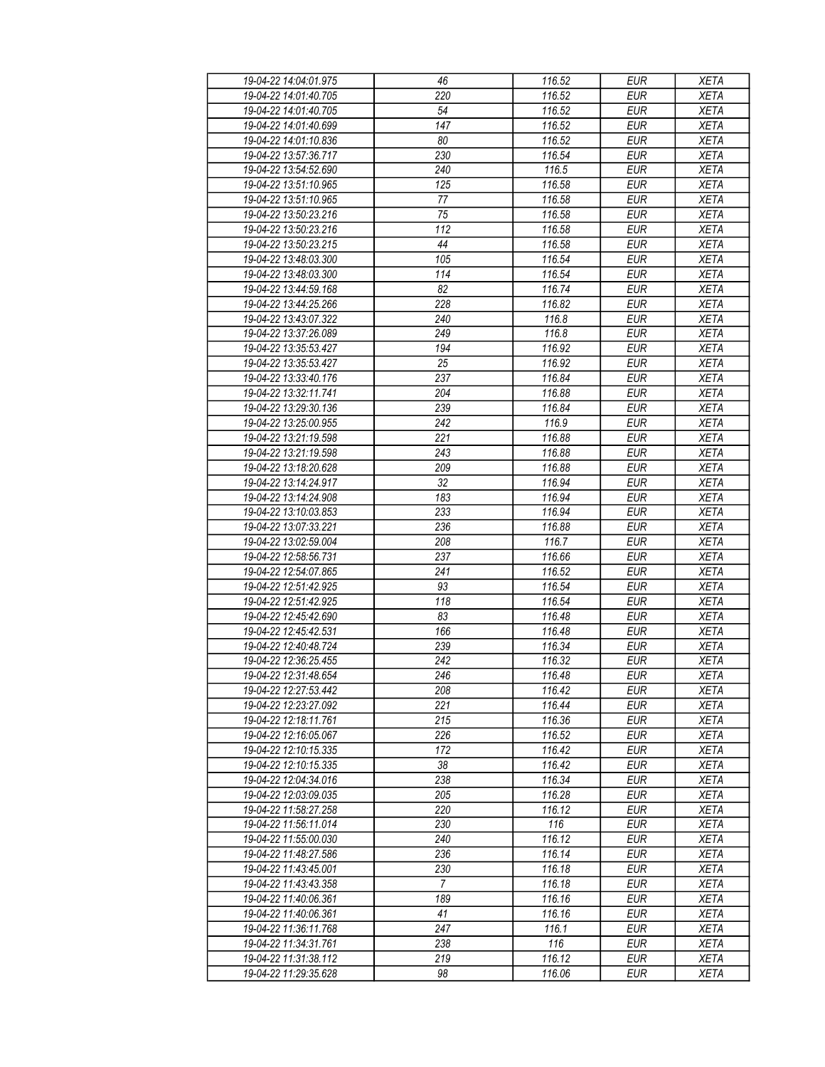| 19-04-22 14:04:01.975                          | 46              | 116.52           | <b>EUR</b>               | <b>XETA</b>                |
|------------------------------------------------|-----------------|------------------|--------------------------|----------------------------|
| 19-04-22 14:01:40.705                          | 220             | 116.52           | <b>EUR</b>               | <b>XETA</b>                |
| 19-04-22 14:01:40.705                          | 54              | 116.52           | <b>EUR</b>               | <b>XETA</b>                |
| 19-04-22 14:01:40.699                          | 147             | 116.52           | <b>EUR</b>               | <b>XETA</b>                |
| 19-04-22 14:01:10.836                          | 80              | 116.52           | <b>EUR</b>               | <b>XETA</b>                |
| 19-04-22 13:57:36.717                          | 230             | 116.54           | <b>EUR</b>               | <b>XETA</b>                |
| 19-04-22 13:54:52.690                          | 240             | 116.5            | <b>EUR</b>               | <b>XETA</b>                |
| 19-04-22 13:51:10.965                          | 125             | 116.58           | <b>EUR</b>               | <b>XETA</b>                |
| 19-04-22 13:51:10.965                          | 77              | 116.58           | <b>EUR</b>               | <b>XETA</b>                |
| 19-04-22 13:50:23.216                          | 75              | 116.58           | <b>EUR</b>               | <b>XETA</b>                |
| 19-04-22 13:50:23.216                          | 112             | 116.58           | <b>EUR</b>               | <b>XETA</b>                |
| 19-04-22 13:50:23.215                          | 44              | 116.58           | <b>EUR</b>               | <b>XETA</b>                |
| 19-04-22 13:48:03.300                          | 105             | 116.54           | <b>EUR</b>               | <b>XETA</b>                |
| 19-04-22 13:48:03.300                          | 114             | 116.54           | <b>EUR</b>               | <b>XETA</b>                |
| 19-04-22 13:44:59.168                          | $\overline{82}$ | 116.74           | <b>EUR</b>               | <b>XETA</b>                |
| 19-04-22 13:44:25.266                          | 228             | 116.82           | <b>EUR</b>               | <b>XETA</b>                |
| 19-04-22 13:43:07.322                          | 240             | 116.8            | <b>EUR</b>               | <b>XETA</b>                |
| 19-04-22 13:37:26.089                          | 249             | 116.8            | <b>EUR</b>               | <b>XETA</b>                |
| 19-04-22 13:35:53.427                          | 194             | 116.92           | <b>EUR</b>               | <b>XETA</b>                |
| 19-04-22 13:35:53.427                          | 25              | 116.92           | <b>EUR</b>               | <b>XETA</b>                |
| 19-04-22 13:33:40.176                          | 237             | 116.84           | <b>EUR</b>               | <b>XETA</b>                |
| 19-04-22 13:32:11.741                          | 204             | 116.88           | <b>EUR</b>               | <b>XETA</b>                |
| 19-04-22 13:29:30.136                          | 239             | 116.84           | <b>EUR</b>               | <b>XETA</b>                |
| 19-04-22 13:25:00.955                          | 242             | 116.9            | <b>EUR</b>               | <b>XETA</b>                |
| 19-04-22 13:21:19.598                          | 221             | 116.88           | <b>EUR</b>               | <b>XETA</b>                |
| 19-04-22 13:21:19.598                          | 243             | 116.88           | <b>EUR</b>               | <b>XETA</b>                |
| 19-04-22 13:18:20.628                          | 209             | 116.88           | <b>EUR</b>               | <b>XETA</b>                |
| 19-04-22 13:14:24.917                          | 32              | 116.94           | <b>EUR</b>               | <b>XETA</b>                |
|                                                |                 |                  | <b>EUR</b>               |                            |
| 19-04-22 13:14:24.908<br>19-04-22 13:10:03.853 | 183<br>233      | 116.94<br>116.94 | <b>EUR</b>               | <b>XETA</b><br><b>XETA</b> |
| 19-04-22 13:07:33.221                          | 236             |                  | <b>EUR</b>               | <b>XETA</b>                |
| 19-04-22 13:02:59.004                          | 208             | 116.88<br>116.7  | <b>EUR</b>               | <b>XETA</b>                |
| 19-04-22 12:58:56.731                          | 237             | 116.66           | <b>EUR</b>               | <b>XETA</b>                |
| 19-04-22 12:54:07.865                          | 241             | 116.52           | <b>EUR</b>               | <b>XETA</b>                |
| 19-04-22 12:51:42.925                          | 93              | 116.54           | <b>EUR</b>               | <b>XETA</b>                |
| 19-04-22 12:51:42.925                          | 118             | 116.54           | <b>EUR</b>               | <b>XETA</b>                |
| 19-04-22 12:45:42.690                          | 83              | 116.48           | <b>EUR</b>               | <b>XETA</b>                |
| 19-04-22 12:45:42.531                          | 166             | 116.48           | <b>EUR</b>               |                            |
| 19-04-22 12:40:48.724                          | 239             | 116.34           | <b>EUR</b>               | <b>XETA</b><br><b>XETA</b> |
| 19-04-22 12:36:25.455                          | 242             | 116.32           | <b>EUR</b>               | <b>XETA</b>                |
| 19-04-22 12:31:48.654                          | 246             | 116.48           | EUR                      | <b>XETA</b>                |
| 19-04-22 12:27:53.442                          | 208             | 116.42           | <b>EUR</b>               | <b>XETA</b>                |
|                                                | 221             |                  |                          |                            |
| 19-04-22 12:23:27.092<br>19-04-22 12:18:11.761 | 215             | 116.44<br>116.36 | <b>EUR</b><br><b>EUR</b> | <b>XETA</b>                |
|                                                | 226             | 116.52           | <b>EUR</b>               | <b>XETA</b>                |
| 19-04-22 12:16:05.067<br>19-04-22 12:10:15.335 | 172             | 116.42           | <b>EUR</b>               | <b>XETA</b><br><b>XETA</b> |
| 19-04-22 12:10:15.335                          |                 |                  |                          |                            |
|                                                | 38<br>238       | 116.42           | <b>EUR</b>               | <b>XETA</b>                |
| 19-04-22 12:04:34.016<br>19-04-22 12:03:09.035 | 205             | 116.34<br>116.28 | <b>EUR</b><br><b>EUR</b> | <b>XETA</b><br><b>XETA</b> |
|                                                |                 |                  |                          |                            |
| 19-04-22 11:58:27.258                          | 220             | 116.12           | <b>EUR</b>               | <b>XETA</b>                |
| 19-04-22 11:56:11.014<br>19-04-22 11:55:00.030 | 230<br>240      | 116              | <b>EUR</b>               | <b>XETA</b>                |
|                                                |                 | 116.12           | <b>EUR</b>               | <b>XETA</b>                |
| 19-04-22 11:48:27.586                          | 236             | 116.14           | <b>EUR</b>               | <b>XETA</b>                |
| 19-04-22 11:43:45.001                          | 230             | 116.18           | <b>EUR</b>               | <b>XETA</b>                |
| 19-04-22 11:43:43.358                          | $\overline{7}$  | 116.18           | <b>EUR</b>               | <b>XETA</b>                |
| 19-04-22 11:40:06.361                          | 189             | 116.16           | <b>EUR</b>               | XETA                       |
| 19-04-22 11:40:06.361                          | 41              | 116.16           | <b>EUR</b>               | <b>XETA</b>                |
| 19-04-22 11:36:11.768                          | 247             | 116.1            | <b>EUR</b>               | <b>XETA</b>                |
| 19-04-22 11:34:31.761                          | 238             | 116              | <b>EUR</b>               | <b>XETA</b>                |
| 19-04-22 11:31:38.112                          | 219             | 116.12           | <b>EUR</b>               | <b>XETA</b>                |
| 19-04-22 11:29:35.628                          | 98              | 116.06           | <b>EUR</b>               | <b>XETA</b>                |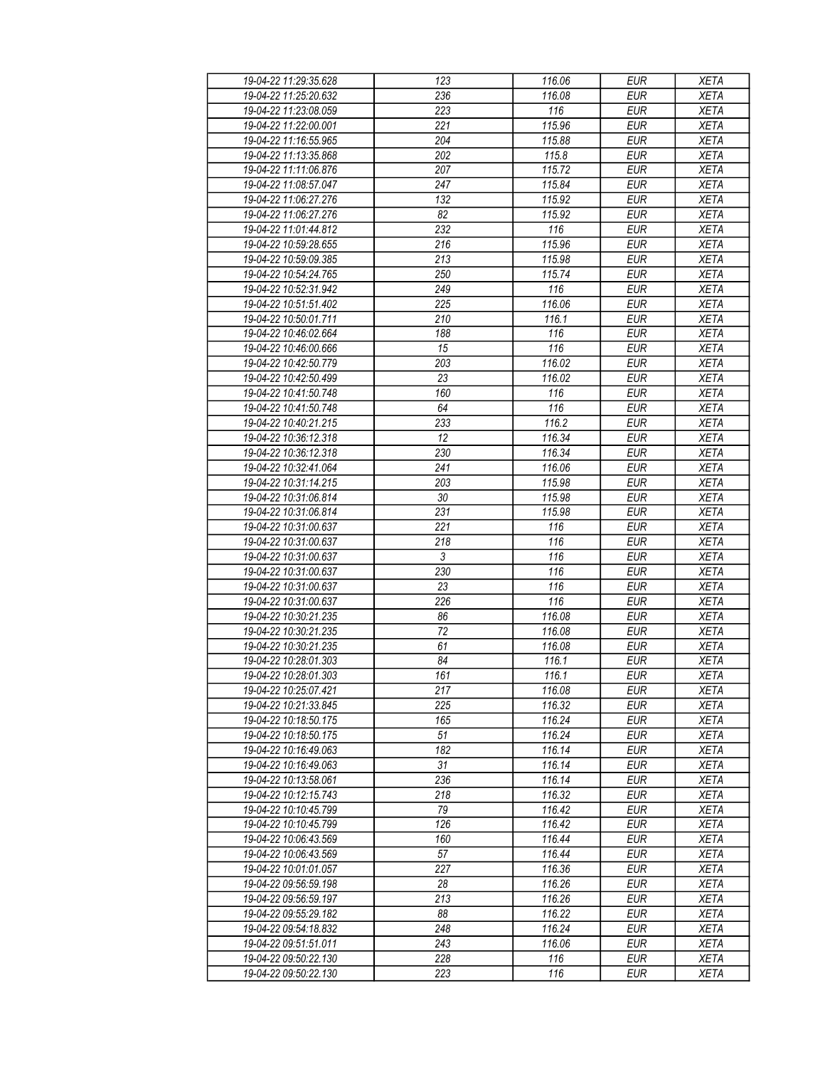| 19-04-22 11:29:35.628                          | 123              | 116.06           | <b>EUR</b>               | <b>XETA</b>                |
|------------------------------------------------|------------------|------------------|--------------------------|----------------------------|
| 19-04-22 11:25:20.632                          | 236              | 116.08           | <b>EUR</b>               | <b>XETA</b>                |
| 19-04-22 11:23:08.059                          | 223              | 116              | <b>EUR</b>               | <b>XETA</b>                |
| 19-04-22 11:22:00.001                          | 221              | 115.96           | <b>EUR</b>               | <b>XETA</b>                |
| 19-04-22 11:16:55.965                          | 204              | 115.88           | <b>EUR</b>               | <b>XETA</b>                |
| 19-04-22 11:13:35.868                          | 202              | 115.8            | <b>EUR</b>               | <b>XETA</b>                |
| 19-04-22 11:11:06.876                          | 207              | 115.72           | <b>EUR</b>               | <b>XETA</b>                |
| 19-04-22 11:08:57.047                          | 247              | 115.84           | <b>EUR</b>               | <b>XETA</b>                |
| 19-04-22 11:06:27.276                          | 132              | 115.92           | <b>EUR</b>               | <b>XETA</b>                |
| 19-04-22 11:06:27.276                          | 82               | 115.92           | <b>EUR</b>               | <b>XETA</b>                |
| 19-04-22 11:01:44.812                          | 232              | 116              | <b>EUR</b>               | <b>XETA</b>                |
| 19-04-22 10:59:28.655                          | 216              | 115.96           | <b>EUR</b>               | <b>XETA</b>                |
| 19-04-22 10:59:09.385                          | 213              | 115.98           | <b>EUR</b>               | <b>XETA</b>                |
| 19-04-22 10:54:24.765                          | 250              | 115.74           | <b>EUR</b>               | <b>XETA</b>                |
| 19-04-22 10:52:31.942                          | $\overline{249}$ | $\overline{116}$ | <b>EUR</b>               | <b>XETA</b>                |
| 19-04-22 10:51:51.402                          | 225              | 116.06           | <b>EUR</b>               | <b>XETA</b>                |
| 19-04-22 10:50:01.711                          | 210              | 116.1            | <b>EUR</b>               | <b>XETA</b>                |
| 19-04-22 10:46:02.664                          | 188              | 116              | <b>EUR</b>               | <b>XETA</b>                |
| 19-04-22 10:46:00.666                          | 15               | 116              | <b>EUR</b>               | <b>XETA</b>                |
| 19-04-22 10:42:50.779                          | 203              | 116.02           | <b>EUR</b>               | <b>XETA</b>                |
| 19-04-22 10:42:50.499                          | 23               | 116.02           | <b>EUR</b>               | <b>XETA</b>                |
| 19-04-22 10:41:50.748                          | 160              | 116              | <b>EUR</b>               | <b>XETA</b>                |
| 19-04-22 10:41:50.748                          | 64               | 116              | <b>EUR</b>               | <b>XETA</b>                |
| 19-04-22 10:40:21.215                          | 233              | 116.2            | <b>EUR</b>               | <b>XETA</b>                |
| 19-04-22 10:36:12.318                          | 12               | 116.34           | <b>EUR</b>               | <b>XETA</b>                |
| 19-04-22 10:36:12.318                          | 230              | 116.34           | <b>EUR</b>               | <b>XETA</b>                |
| 19-04-22 10:32:41.064                          | 241              | 116.06           | <b>EUR</b>               | <b>XETA</b>                |
| 19-04-22 10:31:14.215                          | 203              | 115.98           | <b>EUR</b>               | <b>XETA</b>                |
| 19-04-22 10:31:06.814                          | 30               | 115.98           | <b>EUR</b>               | <b>XETA</b>                |
| 19-04-22 10:31:06.814                          | 231              | 115.98           | <b>EUR</b>               | <b>XETA</b>                |
|                                                |                  |                  |                          |                            |
| 19-04-22 10:31:00.637<br>19-04-22 10:31:00.637 | 221<br>218       | 116<br>116       | <b>EUR</b><br><b>EUR</b> | <b>XETA</b><br><b>XETA</b> |
| 19-04-22 10:31:00.637                          | 3                | 116              | <b>EUR</b>               | <b>XETA</b>                |
| 19-04-22 10:31:00.637                          | 230              | 116              | <b>EUR</b>               | <b>XETA</b>                |
| 19-04-22 10:31:00.637                          | $\overline{23}$  | 116              | <b>EUR</b>               | <b>XETA</b>                |
| 19-04-22 10:31:00.637                          | 226              | 116              | <b>EUR</b>               | <b>XETA</b>                |
| 19-04-22 10:30:21.235                          | 86               | 116.08           | <b>EUR</b>               | <b>XETA</b>                |
| 19-04-22 10:30:21.235                          | 72               | 116.08           | <b>EUR</b>               |                            |
| 19-04-22 10:30:21.235                          | 61               | 116.08           | <b>EUR</b>               | <b>XETA</b>                |
| 19-04-22 10:28:01.303                          | 84               | 116.1            | <b>EUR</b>               | <b>XETA</b><br><b>XETA</b> |
| 19-04-22 10:28:01.303                          | 161              | 116.1            | EUR                      | <b>XETA</b>                |
| 19-04-22 10:25:07.421                          | 217              | 116.08           | <b>EUR</b>               | <b>XETA</b>                |
|                                                |                  |                  |                          |                            |
| 19-04-22 10:21:33.845                          | 225              | 116.32           | <b>EUR</b>               | <b>XETA</b>                |
| 19-04-22 10:18:50.175                          | 165<br>51        | 116.24<br>116.24 | <b>EUR</b><br><b>EUR</b> | <b>XETA</b>                |
| 19-04-22 10:18:50.175<br>19-04-22 10:16:49.063 | 182              | 116.14           | <b>EUR</b>               | <b>XETA</b><br><b>XETA</b> |
|                                                |                  |                  |                          |                            |
| 19-04-22 10:16:49.063<br>19-04-22 10:13:58.061 | 31<br>236        | 116.14           | <b>EUR</b>               | <b>XETA</b><br><b>XETA</b> |
|                                                |                  | 116.14           | <b>EUR</b>               |                            |
| 19-04-22 10:12:15.743                          | 218              | 116.32           | <b>EUR</b>               | <b>XETA</b>                |
| 19-04-22 10:10:45.799                          | 79               | 116.42           | <b>EUR</b>               | <b>XETA</b>                |
| 19-04-22 10:10:45.799                          | 126              | 116.42           | <b>EUR</b>               | <b>XETA</b>                |
| 19-04-22 10:06:43.569                          | 160              | 116.44           | <b>EUR</b>               | <b>XETA</b>                |
| 19-04-22 10:06:43.569                          | 57               | 116.44           | <b>EUR</b>               | <b>XETA</b>                |
| 19-04-22 10:01:01.057                          | 227              | 116.36           | <b>EUR</b>               | <b>XETA</b>                |
| 19-04-22 09:56:59.198                          | 28               | 116.26           | <b>EUR</b>               | <b>XETA</b>                |
| 19-04-22 09:56:59.197                          | 213              | 116.26           | <b>EUR</b>               | XETA                       |
| 19-04-22 09:55:29.182                          | 88               | 116.22           | <b>EUR</b>               | <b>XETA</b>                |
| 19-04-22 09:54:18.832                          | 248              | 116.24           | <b>EUR</b>               | <b>XETA</b>                |
| 19-04-22 09:51:51.011                          | 243              | 116.06           | <b>EUR</b>               | <b>XETA</b>                |
| 19-04-22 09:50:22.130                          | 228              | 116              | <b>EUR</b>               | <b>XETA</b>                |
| 19-04-22 09:50:22.130                          | 223              | 116              | <b>EUR</b>               | <b>XETA</b>                |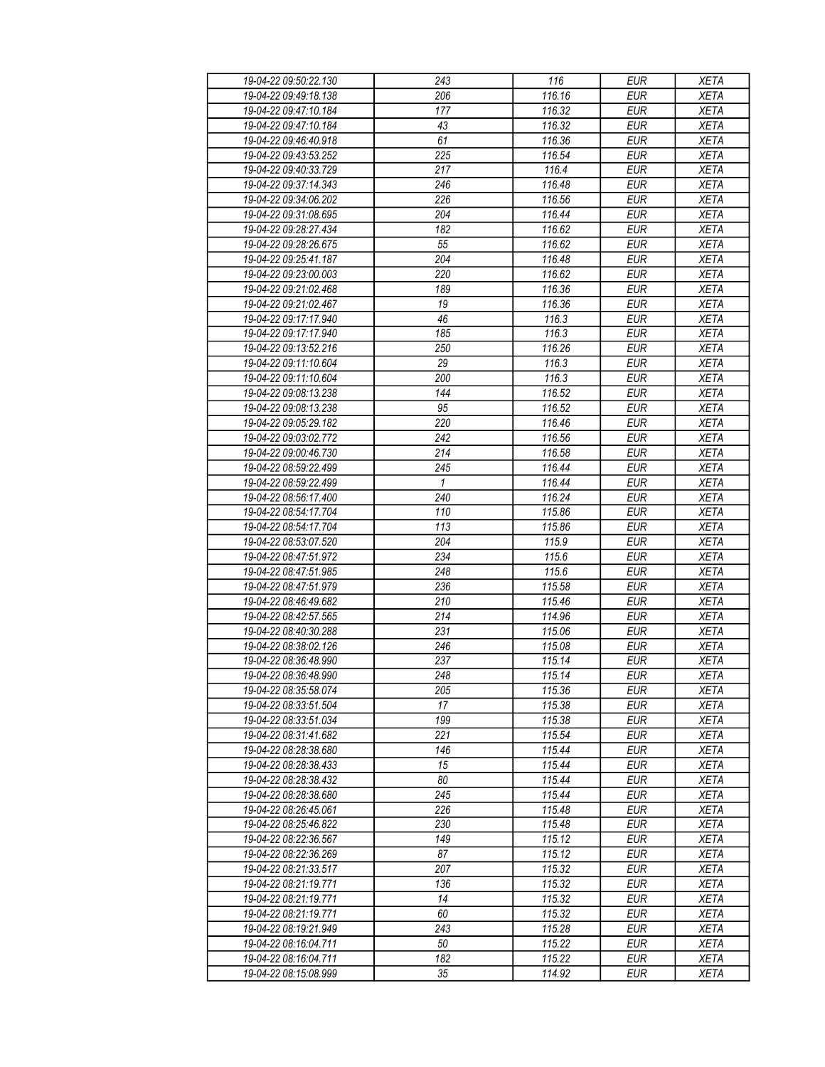| 19-04-22 09:50:22.130 | 243          | 116              | <b>EUR</b> | <b>XETA</b> |
|-----------------------|--------------|------------------|------------|-------------|
| 19-04-22 09:49:18.138 | 206          | 116.16           | <b>EUR</b> | <b>XETA</b> |
| 19-04-22 09:47:10.184 | 177          | 116.32           | <b>EUR</b> | <b>XETA</b> |
| 19-04-22 09:47:10.184 | 43           | 116.32           | <b>EUR</b> | <b>XETA</b> |
| 19-04-22 09:46:40.918 | 61           | 116.36           | <b>EUR</b> | <b>XETA</b> |
| 19-04-22 09:43:53.252 | 225          | 116.54           | <b>EUR</b> | <b>XETA</b> |
| 19-04-22 09:40:33.729 | 217          | $\frac{1}{16.4}$ | <b>EUR</b> | <b>XETA</b> |
| 19-04-22 09:37:14.343 | 246          | 116.48           | <b>EUR</b> | <b>XETA</b> |
| 19-04-22 09:34:06.202 | 226          | 116.56           | <b>EUR</b> | <b>XETA</b> |
| 19-04-22 09:31:08.695 | 204          | 116.44           | <b>EUR</b> | <b>XETA</b> |
| 19-04-22 09:28:27.434 | 182          | 116.62           | <b>EUR</b> | <b>XETA</b> |
| 19-04-22 09:28:26.675 | 55           | 116.62           | <b>EUR</b> | <b>XETA</b> |
| 19-04-22 09:25:41.187 | 204          | 116.48           | <b>EUR</b> | <b>XETA</b> |
| 19-04-22 09:23:00.003 | 220          | 116.62           | <b>EUR</b> | <b>XETA</b> |
| 19-04-22 09:21:02.468 | 189          | 116.36           | <b>EUR</b> | <b>XETA</b> |
| 19-04-22 09:21:02.467 | 19           | 116.36           | <b>EUR</b> | <b>XETA</b> |
| 19-04-22 09:17:17.940 | 46           | 116.3            | <b>EUR</b> | <b>XETA</b> |
| 19-04-22 09:17:17.940 | 185          | 116.3            | <b>EUR</b> | <b>XETA</b> |
|                       |              |                  |            |             |
| 19-04-22 09:13:52.216 | 250          | 116.26           | <b>EUR</b> | <b>XETA</b> |
| 19-04-22 09:11:10.604 | 29           | 116.3            | <b>EUR</b> | <b>XETA</b> |
| 19-04-22 09:11:10.604 | 200          | 116.3            | <b>EUR</b> | <b>XETA</b> |
| 19-04-22 09:08:13.238 | 144          | 116.52           | <b>EUR</b> | <b>XETA</b> |
| 19-04-22 09:08:13.238 | 95           | 116.52           | <b>EUR</b> | <b>XETA</b> |
| 19-04-22 09:05:29.182 | 220          | 116.46           | <b>EUR</b> | <b>XETA</b> |
| 19-04-22 09:03:02.772 | 242          | 116.56           | <b>EUR</b> | <b>XETA</b> |
| 19-04-22 09:00:46.730 | 214          | 116.58           | <b>EUR</b> | <b>XETA</b> |
| 19-04-22 08:59:22.499 | 245          | 116.44           | <b>EUR</b> | <b>XETA</b> |
| 19-04-22 08:59:22.499 | $\mathbf{1}$ | 116.44           | <b>EUR</b> | <b>XETA</b> |
| 19-04-22 08:56:17.400 | 240          | 116.24           | <b>EUR</b> | <b>XETA</b> |
| 19-04-22 08:54:17.704 | 110          | 115.86           | <b>EUR</b> | <b>XETA</b> |
| 19-04-22 08:54:17.704 | 113          | 115.86           | <b>EUR</b> | <b>XETA</b> |
| 19-04-22 08:53:07.520 | 204          | 115.9            | <b>EUR</b> | <b>XETA</b> |
| 19-04-22 08:47:51.972 | 234          | 115.6            | <b>EUR</b> | <b>XETA</b> |
| 19-04-22 08:47:51.985 | 248          | 115.6            | <b>EUR</b> | <b>XETA</b> |
| 19-04-22 08:47:51.979 | 236          | 115.58           | <b>EUR</b> | <b>XETA</b> |
| 19-04-22 08:46:49.682 | 210          | 115.46           | <b>EUR</b> | <b>XETA</b> |
| 19-04-22 08:42:57.565 | 214          | 114.96           | <b>EUR</b> | <b>XETA</b> |
| 19-04-22 08:40:30.288 | 231          | 115.06           | <b>EUR</b> | <b>XETA</b> |
| 19-04-22 08:38:02.126 | 246          | 115.08           | <b>EUR</b> | <b>XETA</b> |
| 19-04-22 08:36:48.990 | 237          | 115.14           | <b>EUR</b> | <b>XETA</b> |
| 19-04-22 08:36:48.990 | 248          | 115.14           | <b>EUR</b> | <b>XETA</b> |
| 19-04-22 08:35:58.074 | 205          | 115.36           | <b>EUR</b> | <b>XETA</b> |
| 19-04-22 08:33:51.504 | 17           | 115.38           | <b>EUR</b> | <b>XETA</b> |
| 19-04-22 08:33:51.034 | 199          | 115.38           | <b>EUR</b> | <b>XETA</b> |
| 19-04-22 08:31:41.682 | 221          | 115.54           | <b>EUR</b> | <b>XETA</b> |
| 19-04-22 08:28:38.680 | 146          | 115.44           | <b>EUR</b> | <b>XETA</b> |
| 19-04-22 08:28:38.433 | 15           | 115.44           | <b>EUR</b> | <b>XETA</b> |
| 19-04-22 08:28:38.432 | 80           | 115.44           | <b>EUR</b> | <b>XETA</b> |
| 19-04-22 08:28:38.680 | 245          | 115.44           | <b>EUR</b> | <b>XETA</b> |
| 19-04-22 08:26:45.061 | 226          | 115.48           | <b>EUR</b> | <b>XETA</b> |
| 19-04-22 08:25:46.822 | 230          | 115.48           | <b>EUR</b> | <b>XETA</b> |
| 19-04-22 08:22:36.567 | 149          | 115.12           | <b>EUR</b> | <b>XETA</b> |
| 19-04-22 08:22:36.269 | 87           | 115.12           | <b>EUR</b> | <b>XETA</b> |
| 19-04-22 08:21:33.517 | 207          | 115.32           | <b>EUR</b> | <b>XETA</b> |
| 19-04-22 08:21:19.771 | 136          | 115.32           | <b>EUR</b> | <b>XETA</b> |
| 19-04-22 08:21:19.771 | 14           | 115.32           | <b>EUR</b> | <b>XETA</b> |
| 19-04-22 08:21:19.771 | 60           | 115.32           | <b>EUR</b> | <b>XETA</b> |
| 19-04-22 08:19:21.949 | 243          | 115.28           | <b>EUR</b> | <b>XETA</b> |
| 19-04-22 08:16:04.711 | 50           | 115.22           | <b>EUR</b> | <b>XETA</b> |
| 19-04-22 08:16:04.711 | 182          | 115.22           | <b>EUR</b> | <b>XETA</b> |
| 19-04-22 08:15:08.999 | 35           | 114.92           | <b>EUR</b> | <b>XETA</b> |
|                       |              |                  |            |             |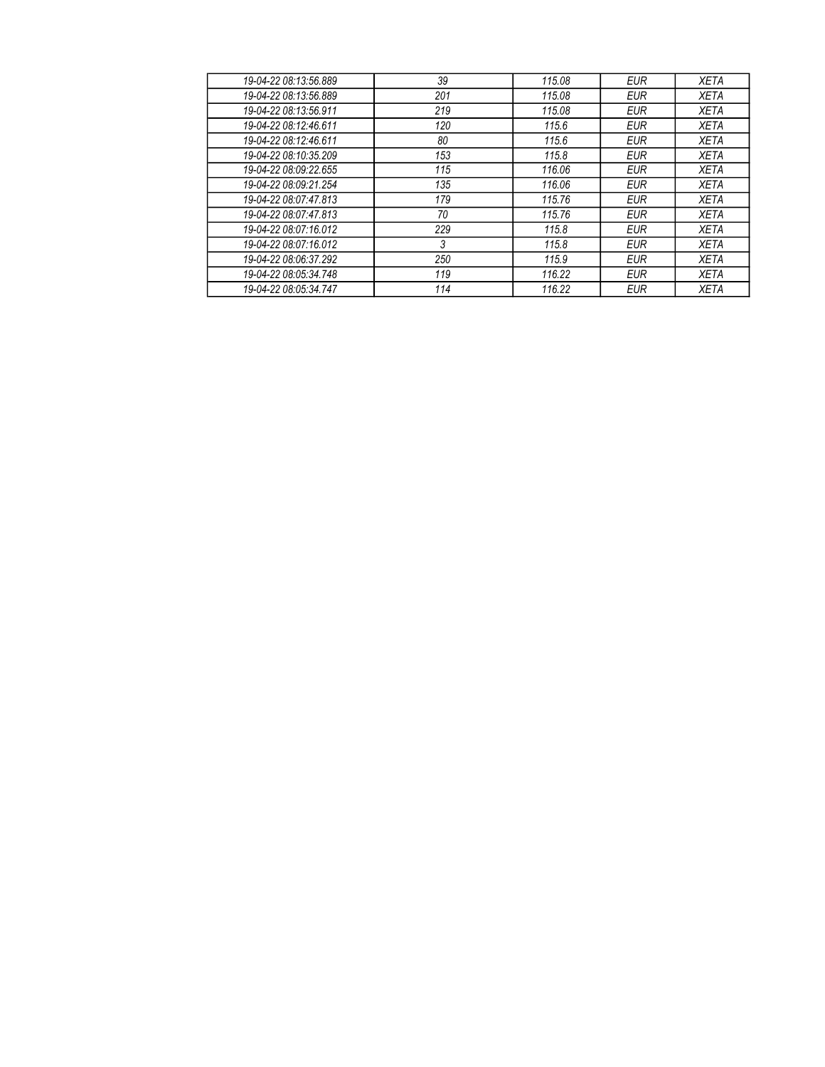| 19-04-22 08:13:56.889 | 39  | 115.08 | <b>EUR</b> | <b>XETA</b> |
|-----------------------|-----|--------|------------|-------------|
| 19-04-22 08:13:56.889 | 201 | 115.08 | <b>EUR</b> | <b>XETA</b> |
| 19-04-22 08:13:56.911 | 219 | 115.08 | <b>EUR</b> | <b>XETA</b> |
| 19-04-22 08:12:46.611 | 120 | 115.6  | <b>EUR</b> | <b>XETA</b> |
| 19-04-22 08:12:46.611 | 80  | 115.6  | <b>EUR</b> | <b>XETA</b> |
| 19-04-22 08:10:35.209 | 153 | 115.8  | <b>EUR</b> | <b>XETA</b> |
| 19-04-22 08:09:22 655 | 115 | 116.06 | <b>EUR</b> | <b>XETA</b> |
| 19-04-22 08:09:21.254 | 135 | 116.06 | <b>EUR</b> | <b>XETA</b> |
| 19-04-22 08:07:47.813 | 179 | 115.76 | <b>EUR</b> | <b>XETA</b> |
| 19-04-22 08:07:47.813 | 70  | 115.76 | <b>EUR</b> | <b>XETA</b> |
| 19-04-22 08:07:16.012 | 229 | 115.8  | <b>EUR</b> | <b>XETA</b> |
| 19-04-22 08:07:16.012 | 3   | 115.8  | <b>EUR</b> | <b>XETA</b> |
| 19-04-22 08:06:37.292 | 250 | 115.9  | <b>EUR</b> | <b>XETA</b> |
| 19-04-22 08:05:34 748 | 119 | 116.22 | <b>EUR</b> | <b>XETA</b> |
| 19-04-22 08:05:34.747 | 114 | 116.22 | <b>EUR</b> | <b>XETA</b> |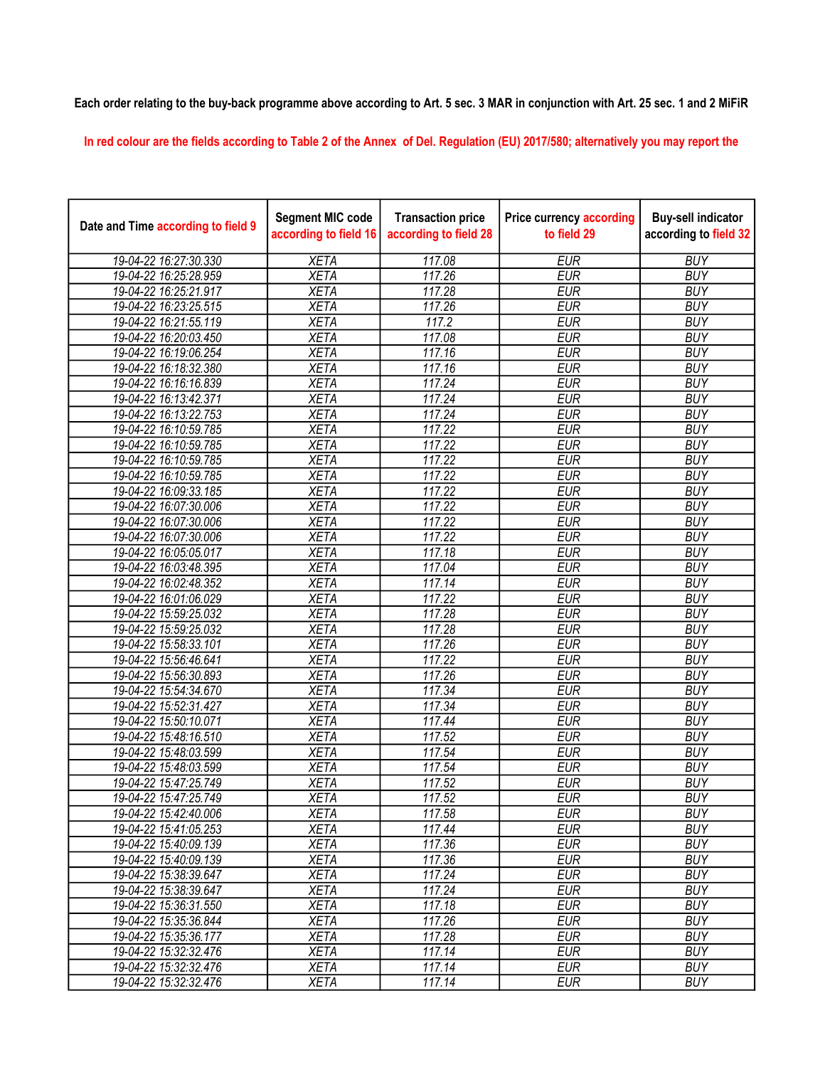## Each order relating to the buy-back programme above according to Art. 5 sec. 3 MAR in conjunction with Art. 25 sec. 1 and 2 MiFiR

In red colour are the fields according to Table 2 of the Annex of Del. Regulation (EU) 2017/580; alternatively you may report the

| Date and Time according to field 9 | <b>Segment MIC code</b><br>according to field 16 | <b>Transaction price</b><br>according to field 28 | <b>Price currency according</b><br>to field 29 | <b>Buy-sell indicator</b><br>according to field 32 |
|------------------------------------|--------------------------------------------------|---------------------------------------------------|------------------------------------------------|----------------------------------------------------|
| 19-04-22 16:27:30.330              | <b>XETA</b>                                      | 117.08                                            | <b>EUR</b>                                     | <b>BUY</b>                                         |
| 19-04-22 16:25:28.959              | <b>XETA</b>                                      | 117.26                                            | <b>EUR</b>                                     | <b>BUY</b>                                         |
| 19-04-22 16:25:21.917              | <b>XETA</b>                                      | 117.28                                            | <b>EUR</b>                                     | <b>BUY</b>                                         |
| 19-04-22 16:23:25.515              | <b>XETA</b>                                      | 117.26                                            | <b>EUR</b>                                     | <b>BUY</b>                                         |
| 19-04-22 16:21:55.119              | <b>XETA</b>                                      | 117.2                                             | <b>EUR</b>                                     | <b>BUY</b>                                         |
| 19-04-22 16:20:03.450              | <b>XETA</b>                                      | 117.08                                            | <b>EUR</b>                                     | <b>BUY</b>                                         |
| 19-04-22 16:19:06.254              | <b>XETA</b>                                      | 117.16                                            | <b>EUR</b>                                     | <b>BUY</b>                                         |
| 19-04-22 16:18:32.380              | <b>XETA</b>                                      | 117.16                                            | <b>EUR</b>                                     | <b>BUY</b>                                         |
| 19-04-22 16:16:16.839              | <b>XETA</b>                                      | 117.24                                            | <b>EUR</b>                                     | <b>BUY</b>                                         |
| 19-04-22 16:13:42.371              | <b>XETA</b>                                      | 117.24                                            | <b>EUR</b>                                     | <b>BUY</b>                                         |
| 19-04-22 16:13:22.753              | <b>XETA</b>                                      | 117.24                                            | <b>EUR</b>                                     | <b>BUY</b>                                         |
| 19-04-22 16:10:59.785              | <b>XETA</b>                                      | 117.22                                            | <b>EUR</b>                                     | <b>BUY</b>                                         |
| 19-04-22 16:10:59.785              | <b>XETA</b>                                      | 117.22                                            | <b>EUR</b>                                     | <b>BUY</b>                                         |
| 19-04-22 16:10:59.785              | <b>XETA</b>                                      | 117.22                                            | <b>EUR</b>                                     | <b>BUY</b>                                         |
| 19-04-22 16:10:59.785              | <b>XETA</b>                                      | 117.22                                            | <b>EUR</b>                                     | <b>BUY</b>                                         |
| 19-04-22 16:09:33.185              | <b>XETA</b>                                      | 117.22                                            | <b>EUR</b>                                     | <b>BUY</b>                                         |
| 19-04-22 16:07:30.006              | <b>XETA</b>                                      | 117.22                                            | <b>EUR</b>                                     | <b>BUY</b>                                         |
| 19-04-22 16:07:30.006              | <b>XETA</b>                                      | 117.22                                            | <b>EUR</b>                                     | <b>BUY</b>                                         |
| 19-04-22 16:07:30.006              | <b>XETA</b>                                      | 117.22                                            | <b>EUR</b>                                     | <b>BUY</b>                                         |
| 19-04-22 16:05:05.017              | <b>XETA</b>                                      | 117.18                                            | <b>EUR</b>                                     | <b>BUY</b>                                         |
| 19-04-22 16:03:48.395              | <b>XETA</b>                                      | 117.04                                            | <b>EUR</b>                                     | <b>BUY</b>                                         |
| 19-04-22 16:02:48.352              | <b>XETA</b>                                      | 117.14                                            | <b>EUR</b>                                     | <b>BUY</b>                                         |
| 19-04-22 16:01:06.029              | <b>XETA</b>                                      | 117.22                                            | <b>EUR</b>                                     | <b>BUY</b>                                         |
| 19-04-22 15:59:25.032              | <b>XETA</b>                                      | 117.28                                            | <b>EUR</b>                                     | <b>BUY</b>                                         |
| 19-04-22 15:59:25.032              | <b>XETA</b>                                      | 117.28                                            | <b>EUR</b>                                     | <b>BUY</b>                                         |
| 19-04-22 15:58:33.101              | <b>XETA</b>                                      | 117.26                                            | <b>EUR</b>                                     | <b>BUY</b>                                         |
| 19-04-22 15:56:46.641              | <b>XETA</b>                                      | 117.22                                            | <b>EUR</b>                                     | <b>BUY</b>                                         |
| 19-04-22 15:56:30.893              | <b>XETA</b>                                      | 117.26                                            | <b>EUR</b>                                     | <b>BUY</b>                                         |
| 19-04-22 15:54:34.670              | <b>XETA</b>                                      | 117.34                                            | <b>EUR</b>                                     | <b>BUY</b>                                         |
| 19-04-22 15:52:31.427              | <b>XETA</b>                                      | 117.34                                            | <b>EUR</b>                                     | <b>BUY</b>                                         |
| 19-04-22 15:50:10.071              | <b>XETA</b>                                      | 117.44                                            | <b>EUR</b>                                     | <b>BUY</b>                                         |
| 19-04-22 15:48:16.510              | <b>XETA</b>                                      | 117.52                                            | <b>EUR</b>                                     | <b>BUY</b>                                         |
| 19-04-22 15:48:03.599              | <b>XETA</b>                                      | 117.54                                            | <b>EUR</b>                                     | <b>BUY</b>                                         |
| 19-04-22 15:48:03.599              | <b>XETA</b>                                      | 117.54                                            | <b>EUR</b>                                     | <b>BUY</b>                                         |
| 19-04-22 15:47:25.749              | <b>XETA</b>                                      | 117.52                                            | <b>EUR</b>                                     | <b>BUY</b>                                         |
| 19-04-22 15:47:25.749              | <b>XETA</b>                                      | 117.52                                            | <b>EUR</b>                                     | <b>BUY</b>                                         |
| 19-04-22 15:42:40.006              | XETA                                             | 117.58                                            | EUR                                            | <b>BUY</b>                                         |
| 19-04-22 15:41:05.253              | <b>XETA</b>                                      | 117.44                                            | <b>EUR</b>                                     | <b>BUY</b>                                         |
| 19-04-22 15:40:09.139              | <b>XETA</b>                                      | 117.36                                            | <b>EUR</b>                                     | <b>BUY</b>                                         |
| 19-04-22 15:40:09.139              | <b>XETA</b>                                      | 117.36                                            | <b>EUR</b>                                     | <b>BUY</b>                                         |
| 19-04-22 15:38:39.647              | <b>XETA</b>                                      | 117.24                                            | <b>EUR</b>                                     | <b>BUY</b>                                         |
| 19-04-22 15:38:39.647              | <b>XETA</b>                                      | 117.24                                            | <b>EUR</b>                                     | <b>BUY</b>                                         |
| 19-04-22 15:36:31.550              | <b>XETA</b>                                      | 117.18                                            | <b>EUR</b>                                     | <b>BUY</b>                                         |
| 19-04-22 15:35:36.844              | <b>XETA</b>                                      | 117.26                                            | <b>EUR</b>                                     | <b>BUY</b>                                         |
| 19-04-22 15:35:36.177              | <b>XETA</b>                                      | 117.28                                            | <b>EUR</b>                                     | <b>BUY</b>                                         |
| 19-04-22 15:32:32.476              | <b>XETA</b>                                      | 117.14                                            | <b>EUR</b>                                     | <b>BUY</b>                                         |
| 19-04-22 15:32:32.476              | <b>XETA</b>                                      | 117.14                                            | EUR                                            | <b>BUY</b>                                         |
| 19-04-22 15:32:32.476              | <b>XETA</b>                                      | 117.14                                            | <b>EUR</b>                                     | <b>BUY</b>                                         |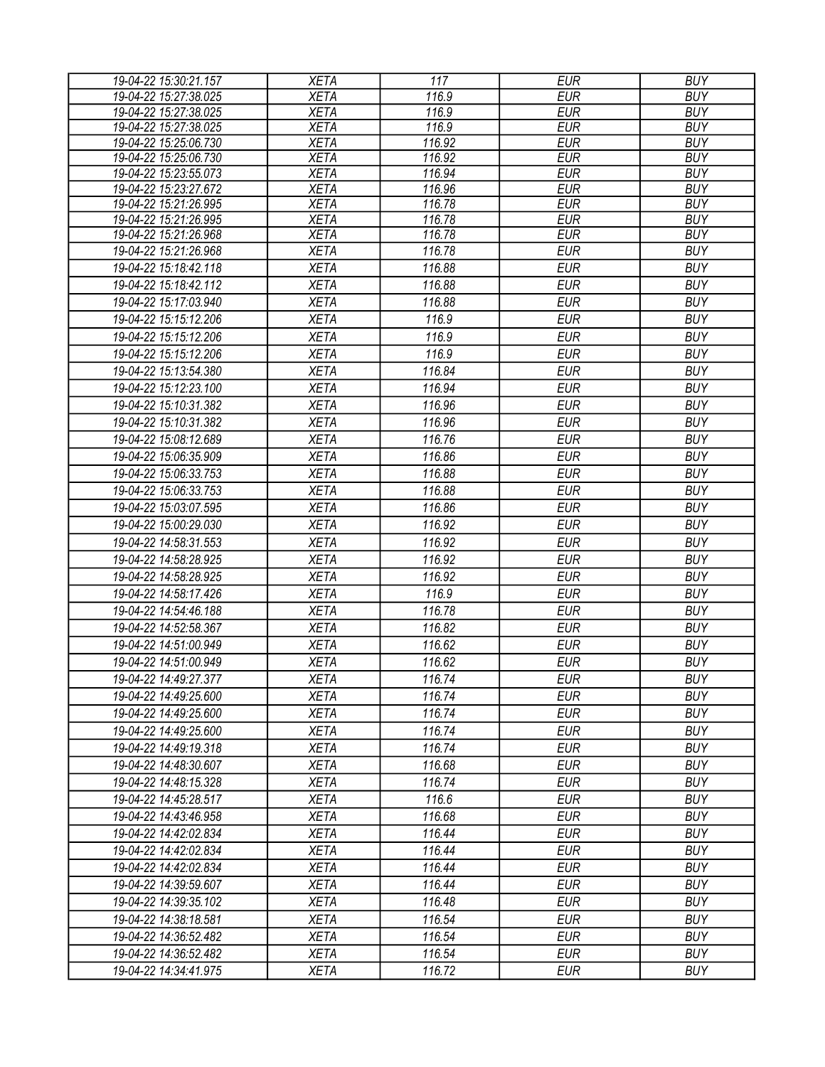| 19-04-22 15:30:21.157 | <b>XETA</b> | 117    | <b>EUR</b> | <b>BUY</b> |
|-----------------------|-------------|--------|------------|------------|
| 19-04-22 15:27:38.025 | <b>XETA</b> | 116.9  | <b>EUR</b> | <b>BUY</b> |
| 19-04-22 15:27:38.025 | <b>XETA</b> | 116.9  | <b>EUR</b> | <b>BUY</b> |
| 19-04-22 15:27:38.025 | <b>XETA</b> | 116.9  | <b>EUR</b> | <b>BUY</b> |
| 19-04-22 15:25:06.730 | <b>XETA</b> | 116.92 | <b>EUR</b> | <b>BUY</b> |
| 19-04-22 15:25:06.730 | <b>XETA</b> | 116.92 | <b>EUR</b> | <b>BUY</b> |
| 19-04-22 15:23:55.073 | <b>XETA</b> | 116.94 | <b>EUR</b> | <b>BUY</b> |
| 19-04-22 15:23:27.672 | <b>XETA</b> | 116.96 | <b>EUR</b> | <b>BUY</b> |
| 19-04-22 15:21:26.995 | <b>XETA</b> | 116.78 | <b>EUR</b> | <b>BUY</b> |
| 19-04-22 15:21:26.995 | <b>XETA</b> | 116.78 | <b>EUR</b> | <b>BUY</b> |
| 19-04-22 15:21:26.968 | <b>XETA</b> | 116.78 | <b>EUR</b> | <b>BUY</b> |
| 19-04-22 15:21:26.968 | <b>XETA</b> | 116.78 | <b>EUR</b> | <b>BUY</b> |
| 19-04-22 15:18:42.118 | <b>XETA</b> | 116.88 | <b>EUR</b> | <b>BUY</b> |
| 19-04-22 15:18:42.112 | <b>XETA</b> | 116.88 | <b>EUR</b> | <b>BUY</b> |
| 19-04-22 15:17:03.940 | <b>XETA</b> | 116.88 | <b>EUR</b> | <b>BUY</b> |
| 19-04-22 15:15:12.206 | <b>XETA</b> | 116.9  | <b>EUR</b> | <b>BUY</b> |
| 19-04-22 15:15:12.206 | <b>XETA</b> | 116.9  | <b>EUR</b> | <b>BUY</b> |
| 19-04-22 15:15:12.206 | <b>XETA</b> | 116.9  | <b>EUR</b> | <b>BUY</b> |
| 19-04-22 15:13:54.380 | <b>XETA</b> | 116.84 | <b>EUR</b> | <b>BUY</b> |
| 19-04-22 15:12:23.100 | <b>XETA</b> | 116.94 | <b>EUR</b> | <b>BUY</b> |
| 19-04-22 15:10:31.382 | <b>XETA</b> | 116.96 | <b>EUR</b> | <b>BUY</b> |
| 19-04-22 15:10:31.382 | <b>XETA</b> | 116.96 | <b>EUR</b> | <b>BUY</b> |
| 19-04-22 15:08:12.689 | <b>XETA</b> | 116.76 | <b>EUR</b> | <b>BUY</b> |
| 19-04-22 15:06:35.909 | <b>XETA</b> | 116.86 | <b>EUR</b> | <b>BUY</b> |
| 19-04-22 15:06:33.753 | <b>XETA</b> | 116.88 | <b>EUR</b> | <b>BUY</b> |
|                       |             |        |            |            |
| 19-04-22 15:06:33.753 | <b>XETA</b> | 116.88 | <b>EUR</b> | <b>BUY</b> |
| 19-04-22 15:03:07.595 | <b>XETA</b> | 116.86 | <b>EUR</b> | <b>BUY</b> |
| 19-04-22 15:00:29.030 | <b>XETA</b> | 116.92 | <b>EUR</b> | <b>BUY</b> |
| 19-04-22 14:58:31.553 | <b>XETA</b> | 116.92 | <b>EUR</b> | <b>BUY</b> |
| 19-04-22 14:58:28.925 | <b>XETA</b> | 116.92 | <b>EUR</b> | <b>BUY</b> |
| 19-04-22 14:58:28.925 | <b>XETA</b> | 116.92 | <b>EUR</b> | <b>BUY</b> |
| 19-04-22 14:58:17.426 | <b>XETA</b> | 116.9  | <b>EUR</b> | <b>BUY</b> |
| 19-04-22 14:54:46.188 | <b>XETA</b> | 116.78 | <b>EUR</b> | <b>BUY</b> |
| 19-04-22 14:52:58.367 | <b>XETA</b> | 116.82 | <b>EUR</b> | <b>BUY</b> |
| 19-04-22 14:51:00.949 | <b>XETA</b> | 116.62 | <b>EUR</b> | <b>BUY</b> |
| 19-04-22 14:51:00.949 | <b>XETA</b> | 116.62 | <b>EUR</b> | <b>BUY</b> |
| 19-04-22 14:49:27.377 | <b>XETA</b> | 116.74 | <b>EUR</b> | <b>BUY</b> |
| 19-04-22 14:49:25.600 | <b>XETA</b> | 116.74 | <b>EUR</b> | <b>BUY</b> |
| 19-04-22 14:49:25.600 | <b>XETA</b> | 116.74 | <b>EUR</b> | <b>BUY</b> |
| 19-04-22 14:49:25.600 | <b>XETA</b> | 116.74 | <b>EUR</b> | <b>BUY</b> |
| 19-04-22 14:49:19.318 | <b>XETA</b> | 116.74 | <b>EUR</b> | <b>BUY</b> |
| 19-04-22 14:48:30.607 | <b>XETA</b> | 116.68 | <b>EUR</b> | <b>BUY</b> |
| 19-04-22 14:48:15.328 | XETA        | 116.74 | <b>EUR</b> | <b>BUY</b> |
| 19-04-22 14:45:28.517 |             |        | <b>EUR</b> | <b>BUY</b> |
|                       | <b>XETA</b> | 116.6  |            |            |
| 19-04-22 14:43:46.958 | <b>XETA</b> | 116.68 | <b>EUR</b> | <b>BUY</b> |
| 19-04-22 14:42:02.834 | <b>XETA</b> | 116.44 | <b>EUR</b> | <b>BUY</b> |
| 19-04-22 14:42:02.834 | <b>XETA</b> | 116.44 | <b>EUR</b> | <b>BUY</b> |
| 19-04-22 14:42:02.834 | <b>XETA</b> | 116.44 | <b>EUR</b> | <b>BUY</b> |
| 19-04-22 14:39:59.607 | <b>XETA</b> | 116.44 | <b>EUR</b> | <b>BUY</b> |
| 19-04-22 14:39:35.102 | <b>XETA</b> | 116.48 | <b>EUR</b> | <b>BUY</b> |
| 19-04-22 14:38:18.581 | <b>XETA</b> | 116.54 | <b>EUR</b> | <b>BUY</b> |
| 19-04-22 14:36:52.482 | <b>XETA</b> | 116.54 | <b>EUR</b> | <b>BUY</b> |
| 19-04-22 14:36:52.482 | <b>XETA</b> | 116.54 | <b>EUR</b> | <b>BUY</b> |
| 19-04-22 14:34:41.975 | <b>XETA</b> | 116.72 | <b>EUR</b> | <b>BUY</b> |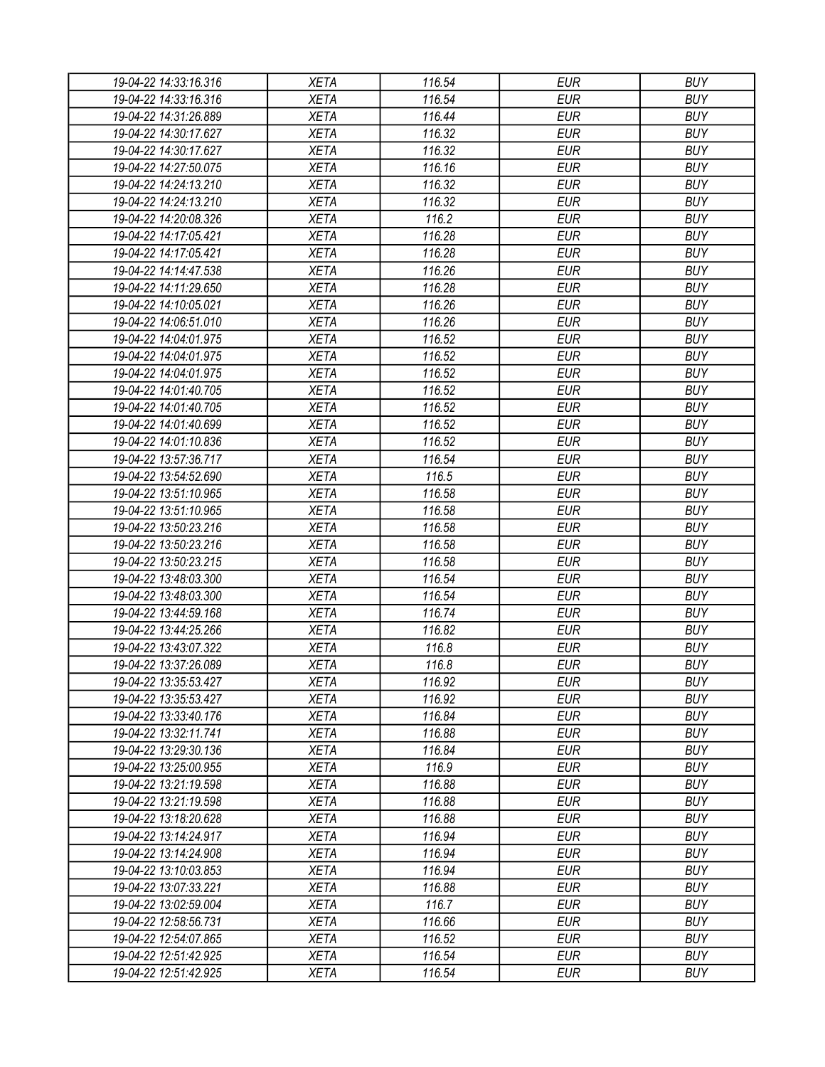| 19-04-22 14:33:16.316                          | <b>XETA</b>                | 116.54           | <b>EUR</b>               | <b>BUY</b>               |
|------------------------------------------------|----------------------------|------------------|--------------------------|--------------------------|
| 19-04-22 14:33:16.316                          | <b>XETA</b>                | 116.54           | <b>EUR</b>               | <b>BUY</b>               |
| 19-04-22 14:31:26.889                          | <b>XETA</b>                | 116.44           | <b>EUR</b>               | <b>BUY</b>               |
| 19-04-22 14:30:17.627                          | <b>XETA</b>                | 116.32           | <b>EUR</b>               | <b>BUY</b>               |
| 19-04-22 14:30:17.627                          | <b>XETA</b>                | 116.32           | <b>EUR</b>               | <b>BUY</b>               |
| 19-04-22 14:27:50.075                          | <b>XETA</b>                | 116.16           | <b>EUR</b>               | <b>BUY</b>               |
| 19-04-22 14:24:13.210                          | <b>XETA</b>                | 116.32           | <b>EUR</b>               | <b>BUY</b>               |
| 19-04-22 14:24:13.210                          | <b>XETA</b>                | 116.32           | <b>EUR</b>               | <b>BUY</b>               |
| 19-04-22 14:20:08.326                          | <b>XETA</b>                | 116.2            | <b>EUR</b>               | <b>BUY</b>               |
| 19-04-22 14:17:05.421                          | <b>XETA</b>                | 116.28           | <b>EUR</b>               | <b>BUY</b>               |
| 19-04-22 14:17:05.421                          | <b>XETA</b>                | 116.28           | <b>EUR</b>               | <b>BUY</b>               |
| 19-04-22 14:14:47.538                          | <b>XETA</b>                | 116.26           | <b>EUR</b>               | <b>BUY</b>               |
| 19-04-22 14:11:29.650                          | <b>XETA</b>                | 116.28           | <b>EUR</b>               | <b>BUY</b>               |
| 19-04-22 14:10:05.021                          | <b>XETA</b>                | 116.26           | <b>EUR</b>               | <b>BUY</b>               |
| 19-04-22 14:06:51.010                          | <b>XETA</b>                | 116.26           | <b>EUR</b>               | <b>BUY</b>               |
| 19-04-22 14:04:01.975                          | <b>XETA</b>                | 116.52           | <b>EUR</b>               | <b>BUY</b>               |
| 19-04-22 14:04:01.975                          | <b>XETA</b>                | 116.52           | <b>EUR</b>               | <b>BUY</b>               |
| 19-04-22 14:04:01.975                          | <b>XETA</b>                | 116.52           | <b>EUR</b>               | <b>BUY</b>               |
| 19-04-22 14:01:40.705                          | <b>XETA</b>                | 116.52           | <b>EUR</b>               | <b>BUY</b>               |
| 19-04-22 14:01:40.705                          | <b>XETA</b>                | 116.52           | <b>EUR</b>               | <b>BUY</b>               |
| 19-04-22 14:01:40.699                          | <b>XETA</b>                | 116.52           | <b>EUR</b>               | <b>BUY</b>               |
| 19-04-22 14:01:10.836                          | <b>XETA</b>                | 116.52           | <b>EUR</b>               | <b>BUY</b>               |
| 19-04-22 13:57:36.717                          | <b>XETA</b>                | 116.54           | <b>EUR</b>               | <b>BUY</b>               |
| 19-04-22 13:54:52.690                          | <b>XETA</b>                | 116.5            | <b>EUR</b>               | <b>BUY</b>               |
| 19-04-22 13:51:10.965                          | <b>XETA</b>                | 116.58           | <b>EUR</b>               | <b>BUY</b>               |
| 19-04-22 13:51:10.965                          | <b>XETA</b>                | 116.58           | <b>EUR</b>               | <b>BUY</b>               |
| 19-04-22 13:50:23.216                          | <b>XETA</b>                | 116.58           | <b>EUR</b>               | <b>BUY</b>               |
| 19-04-22 13:50:23.216                          | <b>XETA</b>                | 116.58           | <b>EUR</b>               | <b>BUY</b>               |
| 19-04-22 13:50:23.215                          | <b>XETA</b>                | 116.58           | <b>EUR</b>               | <b>BUY</b>               |
| 19-04-22 13:48:03.300                          | <b>XETA</b>                | 116.54           | <b>EUR</b>               | <b>BUY</b>               |
| 19-04-22 13:48:03.300                          | <b>XETA</b>                | 116.54           | <b>EUR</b>               | <b>BUY</b>               |
| 19-04-22 13:44:59.168                          | <b>XETA</b>                | 116.74           | <b>EUR</b>               | <b>BUY</b>               |
| 19-04-22 13:44:25.266                          | <b>XETA</b>                | 116.82           | <b>EUR</b>               | <b>BUY</b>               |
| 19-04-22 13:43:07.322                          | <b>XETA</b>                | 116.8            | <b>EUR</b>               | <b>BUY</b>               |
| 19-04-22 13:37:26.089                          | <b>XETA</b>                | 116.8            | <b>EUR</b>               | <b>BUY</b>               |
| 19-04-22 13:35:53.427                          | <b>XETA</b>                | 116.92           | <b>EUR</b>               | <b>BUY</b>               |
| 19-04-22 13:35:53.427                          | <b>XETA</b>                | 116.92           | <b>EUR</b>               | <b>BUY</b>               |
| 19-04-22 13:33:40.176                          | <b>XETA</b>                | 116.84           | <b>EUR</b>               | <b>BUY</b>               |
|                                                |                            |                  |                          |                          |
| 19-04-22 13:32:11.741<br>19-04-22 13:29:30.136 | <b>XETA</b><br><b>XETA</b> | 116.88<br>116.84 | <b>EUR</b><br><b>EUR</b> | <b>BUY</b><br><b>BUY</b> |
|                                                |                            |                  |                          |                          |
| 19-04-22 13:25:00.955                          | <b>XETA</b>                | 116.9            | <b>EUR</b>               | <b>BUY</b>               |
| 19-04-22 13:21:19.598                          | <b>XETA</b>                | 116.88           | <b>EUR</b>               | <b>BUY</b>               |
| 19-04-22 13:21:19.598                          | <b>XETA</b>                | 116.88           | <b>EUR</b>               | <b>BUY</b>               |
| 19-04-22 13:18:20.628                          | <b>XETA</b>                | 116.88           | <b>EUR</b>               | <b>BUY</b>               |
| 19-04-22 13:14:24.917                          | <b>XETA</b>                | 116.94           | <b>EUR</b>               | <b>BUY</b>               |
| 19-04-22 13:14:24.908                          | <b>XETA</b>                | 116.94           | <b>EUR</b>               | <b>BUY</b>               |
| 19-04-22 13:10:03.853                          | <b>XETA</b>                | 116.94           | <b>EUR</b>               | <b>BUY</b>               |
| 19-04-22 13:07:33.221                          | <b>XETA</b>                | 116.88           | <b>EUR</b>               | <b>BUY</b>               |
| 19-04-22 13:02:59.004                          | <b>XETA</b>                | 116.7            | <b>EUR</b>               | <b>BUY</b>               |
| 19-04-22 12:58:56.731                          | <b>XETA</b>                | 116.66           | <b>EUR</b>               | <b>BUY</b>               |
| 19-04-22 12:54:07.865                          | <b>XETA</b>                | 116.52           | <b>EUR</b>               | <b>BUY</b>               |
| 19-04-22 12:51:42.925                          | XETA                       | 116.54           | <b>EUR</b>               | <b>BUY</b>               |
| 19-04-22 12:51:42.925                          | XETA                       | 116.54           | <b>EUR</b>               | <b>BUY</b>               |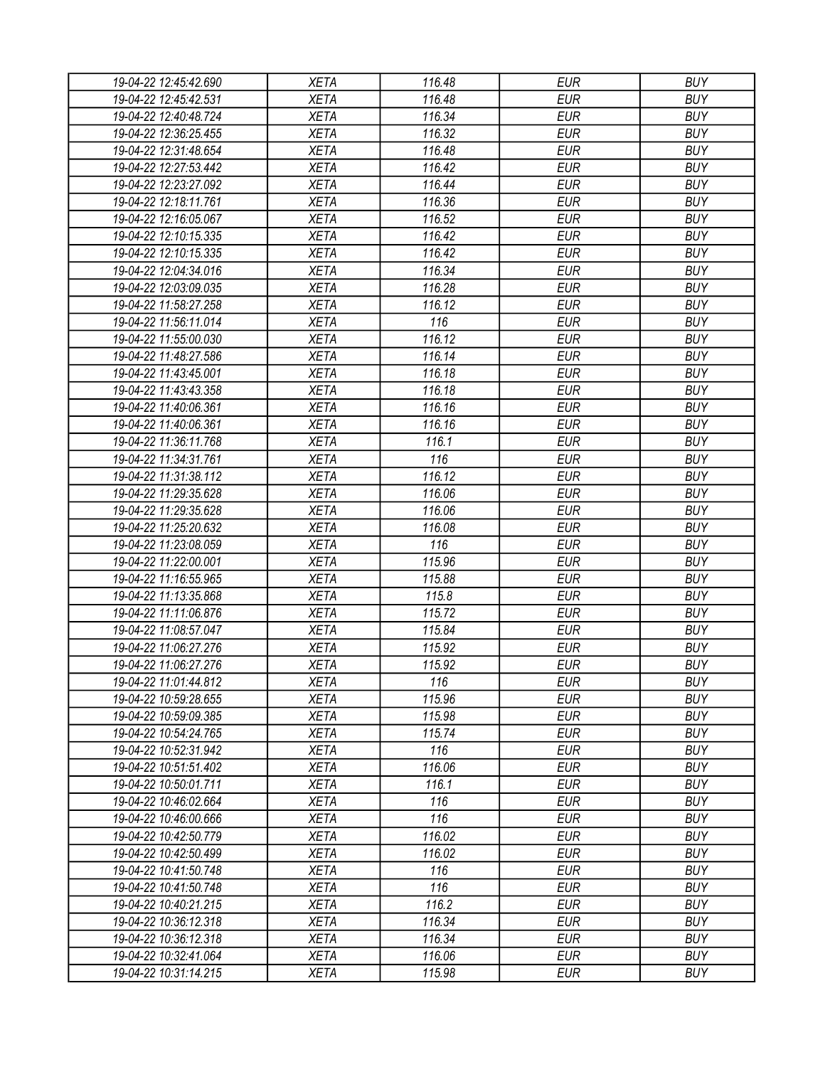| 19-04-22 12:45:42.690 | <b>XETA</b> | 116.48 | <b>EUR</b> | <b>BUY</b> |
|-----------------------|-------------|--------|------------|------------|
| 19-04-22 12:45:42.531 | <b>XETA</b> | 116.48 | <b>EUR</b> | <b>BUY</b> |
| 19-04-22 12:40:48.724 | <b>XETA</b> | 116.34 | <b>EUR</b> | <b>BUY</b> |
| 19-04-22 12:36:25.455 | <b>XETA</b> | 116.32 | <b>EUR</b> | <b>BUY</b> |
| 19-04-22 12:31:48.654 | <b>XETA</b> | 116.48 | <b>EUR</b> | <b>BUY</b> |
| 19-04-22 12:27:53.442 | <b>XETA</b> | 116.42 | <b>EUR</b> | <b>BUY</b> |
| 19-04-22 12:23:27.092 | <b>XETA</b> | 116.44 | <b>EUR</b> | <b>BUY</b> |
| 19-04-22 12:18:11.761 | <b>XETA</b> | 116.36 | <b>EUR</b> | <b>BUY</b> |
| 19-04-22 12:16:05.067 | <b>XETA</b> | 116.52 | <b>EUR</b> | <b>BUY</b> |
| 19-04-22 12:10:15.335 | <b>XETA</b> | 116.42 | <b>EUR</b> | <b>BUY</b> |
| 19-04-22 12:10:15.335 | <b>XETA</b> | 116.42 | <b>EUR</b> | <b>BUY</b> |
| 19-04-22 12:04:34.016 | <b>XETA</b> | 116.34 | <b>EUR</b> | <b>BUY</b> |
| 19-04-22 12:03:09.035 | <b>XETA</b> | 116.28 | <b>EUR</b> | <b>BUY</b> |
| 19-04-22 11:58:27.258 | <b>XETA</b> | 116.12 | <b>EUR</b> | <b>BUY</b> |
| 19-04-22 11:56:11.014 | <b>XETA</b> | 116    | <b>EUR</b> | <b>BUY</b> |
| 19-04-22 11:55:00.030 | <b>XETA</b> | 116.12 | <b>EUR</b> | <b>BUY</b> |
| 19-04-22 11:48:27.586 | <b>XETA</b> | 116.14 | <b>EUR</b> | <b>BUY</b> |
| 19-04-22 11:43:45.001 | <b>XETA</b> | 116.18 | <b>EUR</b> | <b>BUY</b> |
| 19-04-22 11:43:43.358 | <b>XETA</b> | 116.18 | <b>EUR</b> | <b>BUY</b> |
| 19-04-22 11:40:06.361 | <b>XETA</b> | 116.16 | <b>EUR</b> | <b>BUY</b> |
| 19-04-22 11:40:06.361 | <b>XETA</b> | 116.16 | <b>EUR</b> | <b>BUY</b> |
|                       | <b>XETA</b> |        |            |            |
| 19-04-22 11:36:11.768 |             | 116.1  | <b>EUR</b> | <b>BUY</b> |
| 19-04-22 11:34:31.761 | <b>XETA</b> | 116    | <b>EUR</b> | <b>BUY</b> |
| 19-04-22 11:31:38.112 | <b>XETA</b> | 116.12 | <b>EUR</b> | <b>BUY</b> |
| 19-04-22 11:29:35.628 | <b>XETA</b> | 116.06 | <b>EUR</b> | <b>BUY</b> |
| 19-04-22 11:29:35.628 | <b>XETA</b> | 116.06 | <b>EUR</b> | <b>BUY</b> |
| 19-04-22 11:25:20.632 | <b>XETA</b> | 116.08 | <b>EUR</b> | <b>BUY</b> |
| 19-04-22 11:23:08.059 | <b>XETA</b> | 116    | <b>EUR</b> | <b>BUY</b> |
| 19-04-22 11:22:00.001 | <b>XETA</b> | 115.96 | <b>EUR</b> | <b>BUY</b> |
| 19-04-22 11:16:55.965 | <b>XETA</b> | 115.88 | <b>EUR</b> | <b>BUY</b> |
| 19-04-22 11:13:35.868 | <b>XETA</b> | 115.8  | <b>EUR</b> | <b>BUY</b> |
| 19-04-22 11:11:06.876 | <b>XETA</b> | 115.72 | <b>EUR</b> | <b>BUY</b> |
| 19-04-22 11:08:57.047 | <b>XETA</b> | 115.84 | <b>EUR</b> | <b>BUY</b> |
| 19-04-22 11:06:27.276 | <b>XETA</b> | 115.92 | <b>EUR</b> | <b>BUY</b> |
| 19-04-22 11:06:27.276 | <b>XETA</b> | 115.92 | <b>EUR</b> | <b>BUY</b> |
| 19-04-22 11:01:44.812 | <b>XETA</b> | 116    | <b>EUR</b> | <b>BUY</b> |
| 19-04-22 10:59:28.655 | <b>XETA</b> | 115.96 | <b>EUR</b> | <b>BUY</b> |
| 19-04-22 10:59:09.385 | <b>XETA</b> | 115.98 | <b>EUR</b> | <b>BUY</b> |
| 19-04-22 10:54:24.765 | <b>XETA</b> | 115.74 | <b>EUR</b> | <b>BUY</b> |
| 19-04-22 10:52:31.942 | <b>XETA</b> | 116    | <b>EUR</b> | <b>BUY</b> |
| 19-04-22 10:51:51.402 | <b>XETA</b> | 116.06 | <b>EUR</b> | <b>BUY</b> |
| 19-04-22 10:50:01.711 | <b>XETA</b> | 116.1  | <b>EUR</b> | <b>BUY</b> |
| 19-04-22 10:46:02.664 | <b>XETA</b> | 116    | <b>EUR</b> | <b>BUY</b> |
| 19-04-22 10:46:00.666 | <b>XETA</b> | 116    | <b>EUR</b> | <b>BUY</b> |
| 19-04-22 10:42:50.779 | <b>XETA</b> | 116.02 | <b>EUR</b> | <b>BUY</b> |
| 19-04-22 10:42:50.499 | <b>XETA</b> | 116.02 | <b>EUR</b> | <b>BUY</b> |
| 19-04-22 10:41:50.748 | <b>XETA</b> | 116    | <b>EUR</b> | <b>BUY</b> |
| 19-04-22 10:41:50.748 | <b>XETA</b> | 116    | <b>EUR</b> | <b>BUY</b> |
| 19-04-22 10:40:21.215 | <b>XETA</b> | 116.2  | <b>EUR</b> | <b>BUY</b> |
| 19-04-22 10:36:12.318 | <b>XETA</b> | 116.34 | <b>EUR</b> | <b>BUY</b> |
| 19-04-22 10:36:12.318 | <b>XETA</b> | 116.34 | <b>EUR</b> | <b>BUY</b> |
| 19-04-22 10:32:41.064 | XETA        | 116.06 | <b>EUR</b> | <b>BUY</b> |
| 19-04-22 10:31:14.215 | XETA        | 115.98 | <b>EUR</b> | <b>BUY</b> |
|                       |             |        |            |            |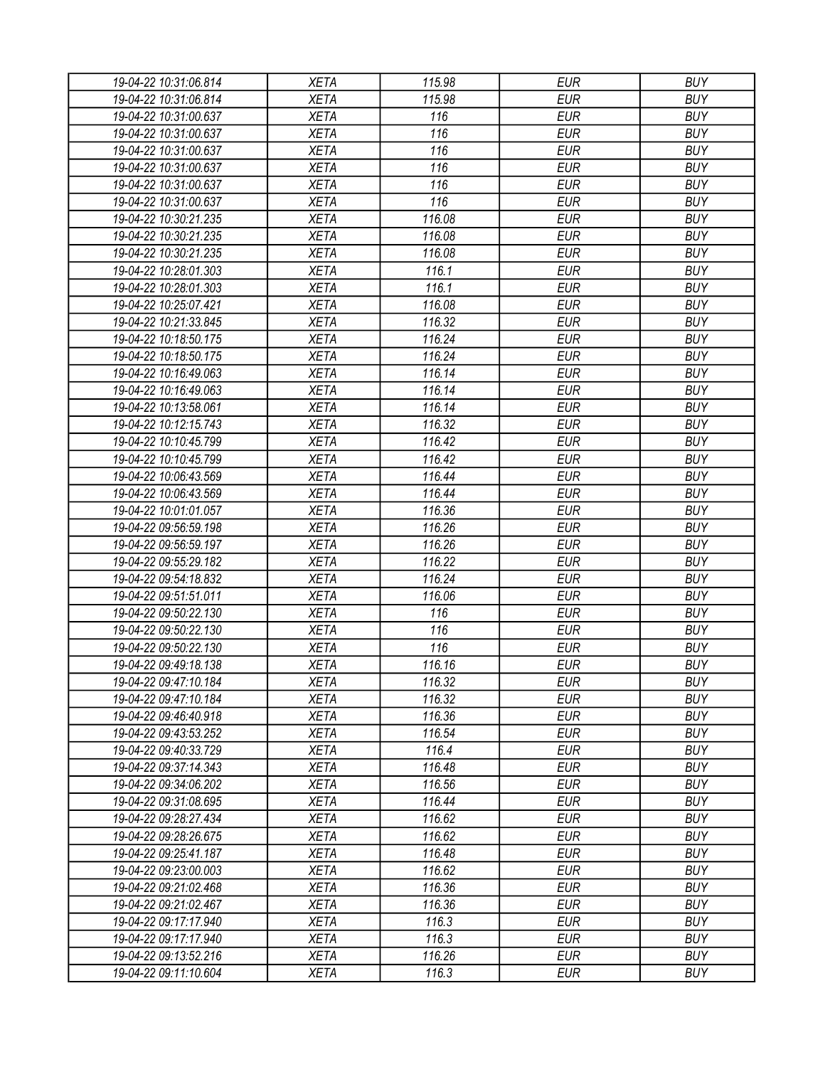| 19-04-22 10:31:06.814 | <b>XETA</b> | 115.98 | <b>EUR</b> | <b>BUY</b> |
|-----------------------|-------------|--------|------------|------------|
| 19-04-22 10:31:06.814 | <b>XETA</b> | 115.98 | <b>EUR</b> | <b>BUY</b> |
| 19-04-22 10:31:00.637 | <b>XETA</b> | 116    | <b>EUR</b> | <b>BUY</b> |
| 19-04-22 10:31:00.637 | <b>XETA</b> | 116    | <b>EUR</b> | <b>BUY</b> |
| 19-04-22 10:31:00.637 | <b>XETA</b> | 116    | <b>EUR</b> | <b>BUY</b> |
| 19-04-22 10:31:00.637 | <b>XETA</b> | 116    | <b>EUR</b> | <b>BUY</b> |
| 19-04-22 10:31:00.637 | <b>XETA</b> | 116    | <b>EUR</b> | <b>BUY</b> |
| 19-04-22 10:31:00.637 | <b>XETA</b> | 116    | <b>EUR</b> | <b>BUY</b> |
| 19-04-22 10:30:21.235 | <b>XETA</b> | 116.08 | <b>EUR</b> | <b>BUY</b> |
| 19-04-22 10:30:21.235 | <b>XETA</b> | 116.08 | <b>EUR</b> | <b>BUY</b> |
| 19-04-22 10:30:21.235 | <b>XETA</b> | 116.08 | <b>EUR</b> | <b>BUY</b> |
| 19-04-22 10:28:01.303 | <b>XETA</b> | 116.1  | <b>EUR</b> | <b>BUY</b> |
| 19-04-22 10:28:01.303 | <b>XETA</b> | 116.1  | <b>EUR</b> | <b>BUY</b> |
| 19-04-22 10:25:07.421 | <b>XETA</b> | 116.08 | <b>EUR</b> | <b>BUY</b> |
| 19-04-22 10:21:33.845 | <b>XETA</b> | 116.32 | <b>EUR</b> | <b>BUY</b> |
| 19-04-22 10:18:50.175 | <b>XETA</b> | 116.24 | <b>EUR</b> | <b>BUY</b> |
| 19-04-22 10:18:50.175 | <b>XETA</b> | 116.24 | <b>EUR</b> | <b>BUY</b> |
| 19-04-22 10:16:49.063 | <b>XETA</b> | 116.14 | <b>EUR</b> | <b>BUY</b> |
| 19-04-22 10:16:49.063 | <b>XETA</b> | 116.14 | <b>EUR</b> | <b>BUY</b> |
| 19-04-22 10:13:58.061 | <b>XETA</b> | 116.14 | <b>EUR</b> | <b>BUY</b> |
| 19-04-22 10:12:15.743 | <b>XETA</b> | 116.32 | <b>EUR</b> | <b>BUY</b> |
| 19-04-22 10:10:45.799 | <b>XETA</b> | 116.42 | <b>EUR</b> | <b>BUY</b> |
| 19-04-22 10:10:45.799 | <b>XETA</b> | 116.42 | <b>EUR</b> | <b>BUY</b> |
| 19-04-22 10:06:43.569 | <b>XETA</b> | 116.44 | <b>EUR</b> | <b>BUY</b> |
| 19-04-22 10:06:43.569 | <b>XETA</b> | 116.44 | <b>EUR</b> | <b>BUY</b> |
| 19-04-22 10:01:01.057 | <b>XETA</b> | 116.36 | <b>EUR</b> | <b>BUY</b> |
| 19-04-22 09:56:59.198 | <b>XETA</b> | 116.26 | <b>EUR</b> | <b>BUY</b> |
| 19-04-22 09:56:59.197 | <b>XETA</b> | 116.26 | <b>EUR</b> | <b>BUY</b> |
| 19-04-22 09:55:29.182 | <b>XETA</b> | 116.22 | <b>EUR</b> | <b>BUY</b> |
|                       |             | 116.24 | <b>EUR</b> | <b>BUY</b> |
| 19-04-22 09:54:18.832 | <b>XETA</b> | 116.06 |            |            |
| 19-04-22 09:51:51.011 | <b>XETA</b> |        | <b>EUR</b> | <b>BUY</b> |
| 19-04-22 09:50:22.130 | <b>XETA</b> | 116    | <b>EUR</b> | <b>BUY</b> |
| 19-04-22 09:50:22.130 | <b>XETA</b> | 116    | <b>EUR</b> | <b>BUY</b> |
| 19-04-22 09:50:22.130 | <b>XETA</b> | 116    | <b>EUR</b> | <b>BUY</b> |
| 19-04-22 09:49:18.138 | <b>XETA</b> | 116.16 | <b>EUR</b> | <b>BUY</b> |
| 19-04-22 09:47:10.184 | <b>XETA</b> | 116.32 | <b>EUR</b> | <b>BUY</b> |
| 19-04-22 09:47:10.184 | <b>XETA</b> | 116.32 | <b>EUR</b> | <b>BUY</b> |
| 19-04-22 09:46:40.918 | <b>XETA</b> | 116.36 | <b>EUR</b> | <b>BUY</b> |
| 19-04-22 09:43:53.252 | <b>XETA</b> | 116.54 | <b>EUR</b> | <b>BUY</b> |
| 19-04-22 09:40:33.729 | <b>XETA</b> | 116.4  | <b>EUR</b> | <b>BUY</b> |
| 19-04-22 09:37:14.343 | <b>XETA</b> | 116.48 | <b>EUR</b> | <b>BUY</b> |
| 19-04-22 09:34:06.202 | <b>XETA</b> | 116.56 | <b>EUR</b> | <b>BUY</b> |
| 19-04-22 09:31:08.695 | <b>XETA</b> | 116.44 | <b>EUR</b> | <b>BUY</b> |
| 19-04-22 09:28:27.434 | <b>XETA</b> | 116.62 | <b>EUR</b> | <b>BUY</b> |
| 19-04-22 09:28:26.675 | <b>XETA</b> | 116.62 | <b>EUR</b> | <b>BUY</b> |
| 19-04-22 09:25:41.187 | <b>XETA</b> | 116.48 | <b>EUR</b> | <b>BUY</b> |
| 19-04-22 09:23:00.003 | <b>XETA</b> | 116.62 | <b>EUR</b> | <b>BUY</b> |
| 19-04-22 09:21:02.468 | <b>XETA</b> | 116.36 | <b>EUR</b> | <b>BUY</b> |
| 19-04-22 09:21:02.467 | <b>XETA</b> | 116.36 | <b>EUR</b> | <b>BUY</b> |
| 19-04-22 09:17:17.940 | <b>XETA</b> | 116.3  | <b>EUR</b> | <b>BUY</b> |
| 19-04-22 09:17:17.940 | <b>XETA</b> | 116.3  | <b>EUR</b> | <b>BUY</b> |
| 19-04-22 09:13:52.216 | <b>XETA</b> | 116.26 | <b>EUR</b> | <b>BUY</b> |
| 19-04-22 09:11:10.604 | XETA        | 116.3  | <b>EUR</b> | <b>BUY</b> |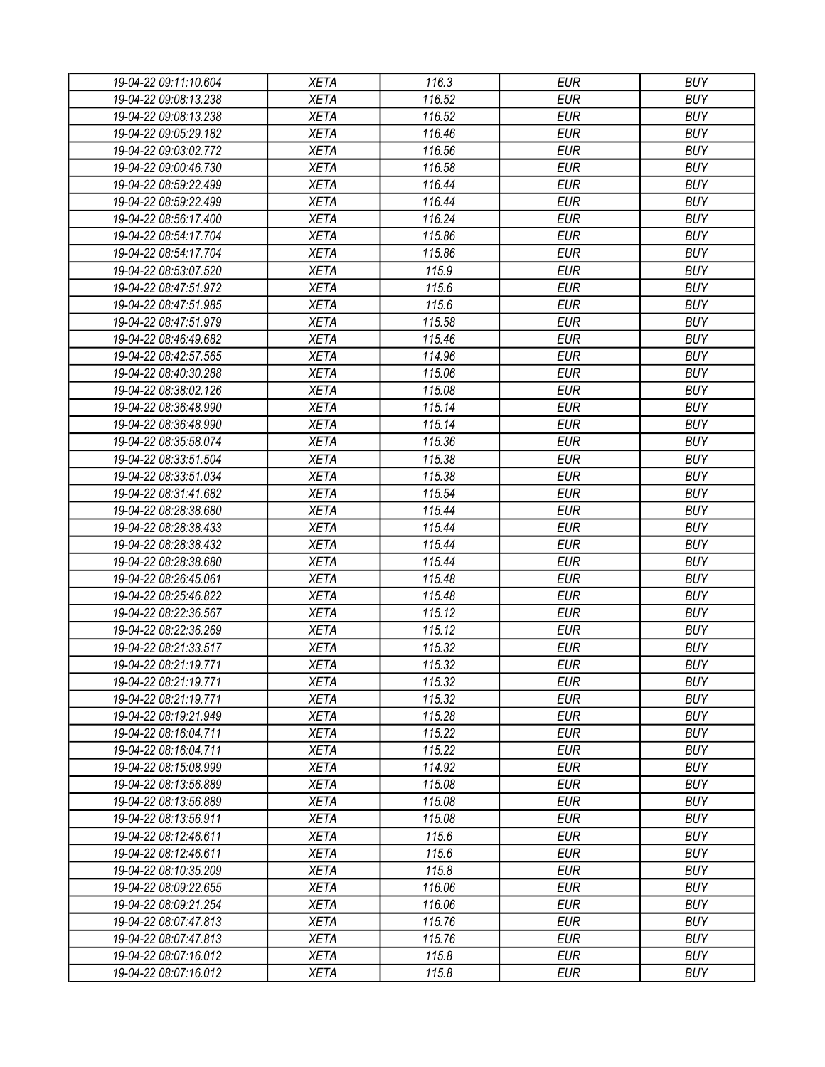| 19-04-22 09:11:10.604 | <b>XETA</b> | 116.3  | <b>EUR</b> | <b>BUY</b> |
|-----------------------|-------------|--------|------------|------------|
| 19-04-22 09:08:13.238 | <b>XETA</b> | 116.52 | <b>EUR</b> | <b>BUY</b> |
| 19-04-22 09:08:13.238 | <b>XETA</b> | 116.52 | <b>EUR</b> | <b>BUY</b> |
| 19-04-22 09:05:29.182 | <b>XETA</b> | 116.46 | <b>EUR</b> | <b>BUY</b> |
| 19-04-22 09:03:02.772 | <b>XETA</b> | 116.56 | <b>EUR</b> | <b>BUY</b> |
| 19-04-22 09:00:46.730 | <b>XETA</b> | 116.58 | <b>EUR</b> | <b>BUY</b> |
| 19-04-22 08:59:22.499 | <b>XETA</b> | 116.44 | <b>EUR</b> | <b>BUY</b> |
| 19-04-22 08:59:22.499 | <b>XETA</b> | 116.44 | <b>EUR</b> | <b>BUY</b> |
| 19-04-22 08:56:17.400 | <b>XETA</b> | 116.24 | <b>EUR</b> | <b>BUY</b> |
| 19-04-22 08:54:17.704 | <b>XETA</b> | 115.86 | <b>EUR</b> | <b>BUY</b> |
| 19-04-22 08:54:17.704 | <b>XETA</b> | 115.86 | <b>EUR</b> | <b>BUY</b> |
| 19-04-22 08:53:07.520 | <b>XETA</b> | 115.9  | <b>EUR</b> | <b>BUY</b> |
| 19-04-22 08:47:51.972 | <b>XETA</b> | 115.6  | <b>EUR</b> | <b>BUY</b> |
| 19-04-22 08:47:51.985 | <b>XETA</b> | 115.6  | <b>EUR</b> | <b>BUY</b> |
| 19-04-22 08:47:51.979 | <b>XETA</b> | 115.58 | <b>EUR</b> | <b>BUY</b> |
| 19-04-22 08:46:49.682 | <b>XETA</b> | 115.46 | <b>EUR</b> | <b>BUY</b> |
| 19-04-22 08:42:57.565 | <b>XETA</b> | 114.96 | <b>EUR</b> | <b>BUY</b> |
| 19-04-22 08:40:30.288 | <b>XETA</b> | 115.06 | <b>EUR</b> | <b>BUY</b> |
| 19-04-22 08:38:02.126 | <b>XETA</b> | 115.08 | <b>EUR</b> | <b>BUY</b> |
| 19-04-22 08:36:48.990 | <b>XETA</b> | 115.14 | <b>EUR</b> | <b>BUY</b> |
| 19-04-22 08:36:48.990 | <b>XETA</b> | 115.14 | <b>EUR</b> | <b>BUY</b> |
|                       | <b>XETA</b> |        |            |            |
| 19-04-22 08:35:58.074 |             | 115.36 | <b>EUR</b> | <b>BUY</b> |
| 19-04-22 08:33:51.504 | <b>XETA</b> | 115.38 | <b>EUR</b> | <b>BUY</b> |
| 19-04-22 08:33:51.034 | <b>XETA</b> | 115.38 | <b>EUR</b> | <b>BUY</b> |
| 19-04-22 08:31:41.682 | <b>XETA</b> | 115.54 | <b>EUR</b> | <b>BUY</b> |
| 19-04-22 08:28:38.680 | <b>XETA</b> | 115.44 | <b>EUR</b> | <b>BUY</b> |
| 19-04-22 08:28:38.433 | <b>XETA</b> | 115.44 | <b>EUR</b> | <b>BUY</b> |
| 19-04-22 08:28:38.432 | <b>XETA</b> | 115.44 | <b>EUR</b> | <b>BUY</b> |
| 19-04-22 08:28:38.680 | <b>XETA</b> | 115.44 | <b>EUR</b> | <b>BUY</b> |
| 19-04-22 08:26:45.061 | <b>XETA</b> | 115.48 | <b>EUR</b> | <b>BUY</b> |
| 19-04-22 08:25:46.822 | <b>XETA</b> | 115.48 | <b>EUR</b> | <b>BUY</b> |
| 19-04-22 08:22:36.567 | <b>XETA</b> | 115.12 | <b>EUR</b> | <b>BUY</b> |
| 19-04-22 08:22:36.269 | <b>XETA</b> | 115.12 | <b>EUR</b> | <b>BUY</b> |
| 19-04-22 08:21:33.517 | <b>XETA</b> | 115.32 | <b>EUR</b> | <b>BUY</b> |
| 19-04-22 08:21:19.771 | <b>XETA</b> | 115.32 | <b>EUR</b> | <b>BUY</b> |
| 19-04-22 08:21:19.771 | <b>XETA</b> | 115.32 | <b>EUR</b> | <b>BUY</b> |
| 19-04-22 08:21:19.771 | <b>XETA</b> | 115.32 | <b>EUR</b> | <b>BUY</b> |
| 19-04-22 08:19:21.949 | <b>XETA</b> | 115.28 | <b>EUR</b> | <b>BUY</b> |
| 19-04-22 08:16:04.711 | <b>XETA</b> | 115.22 | <b>EUR</b> | <b>BUY</b> |
| 19-04-22 08:16:04.711 | <b>XETA</b> | 115.22 | <b>EUR</b> | <b>BUY</b> |
| 19-04-22 08:15:08.999 | <b>XETA</b> | 114.92 | <b>EUR</b> | <b>BUY</b> |
| 19-04-22 08:13:56.889 | <b>XETA</b> | 115.08 | <b>EUR</b> | <b>BUY</b> |
| 19-04-22 08:13:56.889 | <b>XETA</b> | 115.08 | <b>EUR</b> | <b>BUY</b> |
| 19-04-22 08:13:56.911 | <b>XETA</b> | 115.08 | <b>EUR</b> | <b>BUY</b> |
| 19-04-22 08:12:46.611 | <b>XETA</b> | 115.6  | <b>EUR</b> | <b>BUY</b> |
| 19-04-22 08:12:46.611 | <b>XETA</b> | 115.6  | <b>EUR</b> | <b>BUY</b> |
| 19-04-22 08:10:35.209 | <b>XETA</b> | 115.8  | <b>EUR</b> | <b>BUY</b> |
| 19-04-22 08:09:22.655 | <b>XETA</b> | 116.06 | <b>EUR</b> | <b>BUY</b> |
| 19-04-22 08:09:21.254 | <b>XETA</b> | 116.06 | <b>EUR</b> | <b>BUY</b> |
| 19-04-22 08:07:47.813 | <b>XETA</b> | 115.76 | <b>EUR</b> | <b>BUY</b> |
| 19-04-22 08:07:47.813 | <b>XETA</b> | 115.76 | <b>EUR</b> | <b>BUY</b> |
| 19-04-22 08:07:16.012 | <b>XETA</b> | 115.8  | <b>EUR</b> | <b>BUY</b> |
| 19-04-22 08:07:16.012 | <b>XETA</b> | 115.8  | <b>EUR</b> | <b>BUY</b> |
|                       |             |        |            |            |